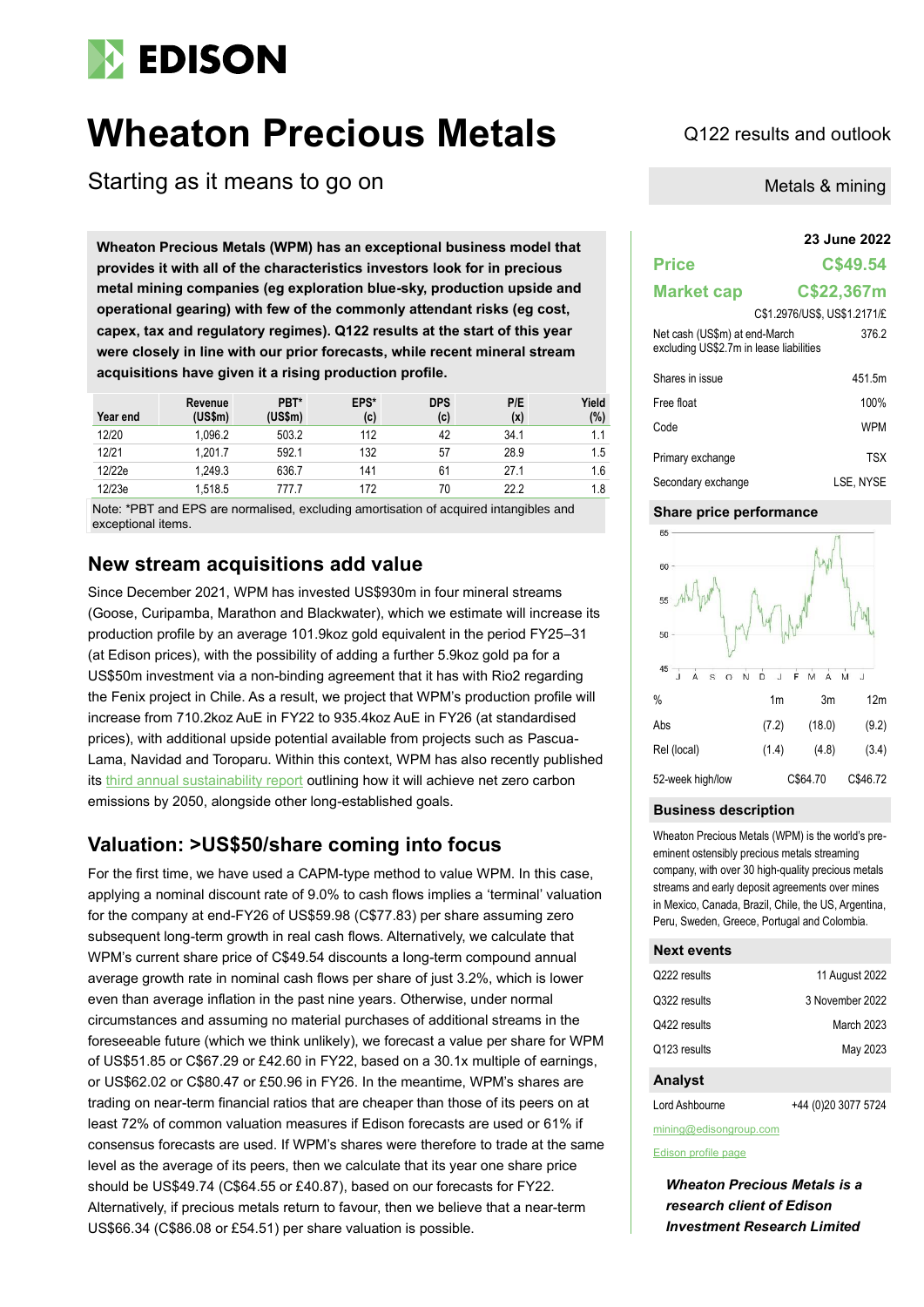

# **Wheaton Precious Metals** Q122 results and outlook

Starting as it means to go on

**23 June 2022 Wheaton Precious Metals (WPM) has an exceptional business model that provides it with all of the characteristics investors look for in precious metal mining companies (eg exploration blue-sky, production upside and operational gearing) with few of the commonly attendant risks (eg cost, capex, tax and regulatory regimes). Q122 results at the start of this year were closely in line with our prior forecasts, while recent mineral stream acquisitions have given it a rising production profile.**

| Year end | Revenue<br>(US\$m) | PBT*<br>(US\$m) | EPS*<br>(c) | <b>DPS</b><br>(c) | P/E<br>(x) | Yield<br>(%) |
|----------|--------------------|-----------------|-------------|-------------------|------------|--------------|
| 12/20    | 1.096.2            | 503.2           | 112         | 42                | 34.1       | 1.1          |
| 12/21    | 1.201.7            | 592.1           | 132         | -57               | 28.9       | 1.5          |
| 12/22e   | 1.249.3            | 636.7           | 141         | 61                | 27.1       | 1.6          |
| 12/23e   | 1.518.5            | 777.7           | 172         | 70                | 22.2       | 1.8          |

Note: \*PBT and EPS are normalised, excluding amortisation of acquired intangibles and exceptional items.

## **New stream acquisitions add value**

Since December 2021, WPM has invested US\$930m in four mineral streams (Goose, Curipamba, Marathon and Blackwater), which we estimate will increase its production profile by an average 101.9koz gold equivalent in the period FY25–31 (at Edison prices), with the possibility of adding a further 5.9koz gold pa for a US\$50m investment via a non-binding agreement that it has with Rio2 regarding the Fenix project in Chile. As a result, we project that WPM's production profile will increase from 710.2koz AuE in FY22 to 935.4koz AuE in FY26 (at standardised prices), with additional upside potential available from projects such as Pascua-Lama, Navidad and Toroparu. Within this context, WPM has also recently published its [third annual sustainability report](https://www.wheatonpm.com/news/pressreleases/News-Releases-Details/2022/WHEATON-PRECIOUS-METALS-PUBLISHES-THIRD-ANNUAL-SUSTAINABILITY-REPORT-HIGHLIGHTING-CONTINUED-ESG-LEADERSHIP/default.aspx) outlining how it will achieve net zero carbon emissions by 2050, alongside other long-established goals.

## **Valuation: >US\$50/share coming into focus**

For the first time, we have used a CAPM-type method to value WPM. In this case, applying a nominal discount rate of 9.0% to cash flows implies a 'terminal' valuation for the company at end-FY26 of US\$59.98 (C\$77.83) per share assuming zero subsequent long-term growth in real cash flows. Alternatively, we calculate that WPM's current share price of C\$49.54 discounts a long-term compound annual average growth rate in nominal cash flows per share of just 3.2%, which is lower even than average inflation in the past nine years. Otherwise, under normal circumstances and assuming no material purchases of additional streams in the foreseeable future (which we think unlikely), we forecast a value per share for WPM of US\$51.85 or C\$67.29 or £42.60 in FY22, based on a 30.1x multiple of earnings, or US\$62.02 or C\$80.47 or £50.96 in FY26. In the meantime, WPM's shares are trading on near-term financial ratios that are cheaper than those of its peers on at least 72% of common valuation measures if Edison forecasts are used or 61% if consensus forecasts are used. If WPM's shares were therefore to trade at the same level as the average of its peers, then we calculate that its year one share price should be US\$49.74 (C\$64.55 or £40.87), based on our forecasts for FY22. Alternatively, if precious metals return to favour, then we believe that a near-term US\$66.34 (C\$86.08 or £54.51) per share valuation is possible.

Metals & mining

## **Price C\$49.54 Market cap C\$22,367m** C\$1.2976/US\$, US\$1.2171/£ Net cash (US\$m) at end-March excluding US\$2.7m in lease liabilities 376.2 Shares in issue 451.5m Free float 100% Code WPM Primary exchange TSX

| Secondary exchange | LSE, NYSE |
|--------------------|-----------|
|                    |           |

#### **Share price performance**



#### **Business description**

Wheaton Precious Metals (WPM) is the world's preeminent ostensibly precious metals streaming company, with over 30 high-quality precious metals streams and early deposit agreements over mines in Mexico, Canada, Brazil, Chile, the US, Argentina, Peru, Sweden, Greece, Portugal and Colombia.

#### **Next events**

| Q222 results | 11 August 2022  |
|--------------|-----------------|
| Q322 results | 3 November 2022 |
| Q422 results | March 2023      |
| Q123 results | May 2023        |
|              |                 |

#### **Analyst**

Lord Ashbourne +44 (0)20 3077 5724

mining@edisongroup.com

#### [Edison profile page](https://www.edisongroup.com/company/wheaton-precious-metals/)

*Wheaton Precious Metals is a research client of Edison Investment Research Limited*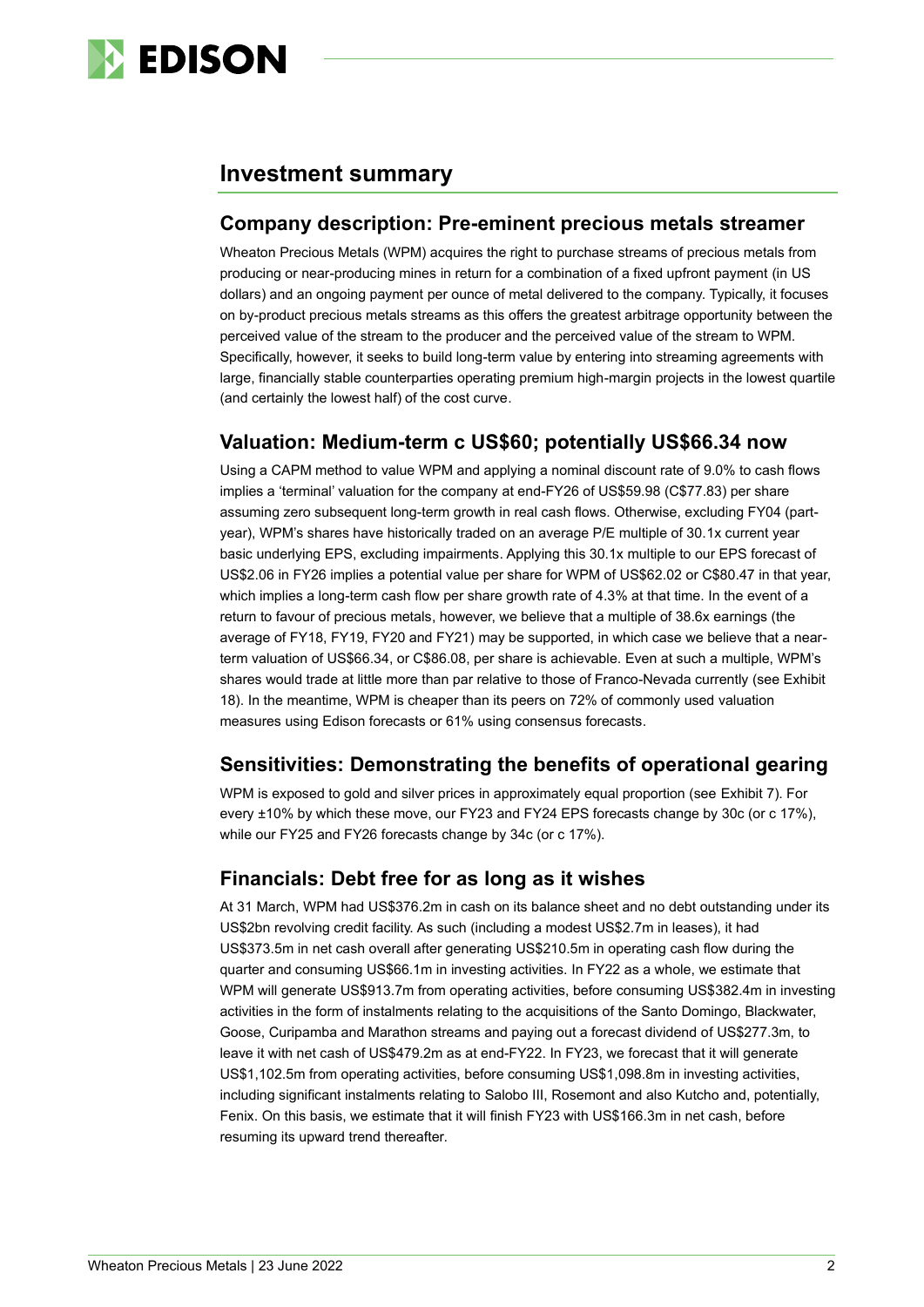

## **Investment summary**

## **Company description: Pre-eminent precious metals streamer**

Wheaton Precious Metals (WPM) acquires the right to purchase streams of precious metals from producing or near-producing mines in return for a combination of a fixed upfront payment (in US dollars) and an ongoing payment per ounce of metal delivered to the company. Typically, it focuses on by-product precious metals streams as this offers the greatest arbitrage opportunity between the perceived value of the stream to the producer and the perceived value of the stream to WPM. Specifically, however, it seeks to build long-term value by entering into streaming agreements with large, financially stable counterparties operating premium high-margin projects in the lowest quartile (and certainly the lowest half) of the cost curve.

## **Valuation: Medium-term c US\$60; potentially US\$66.34 now**

Using a CAPM method to value WPM and applying a nominal discount rate of 9.0% to cash flows implies a 'terminal' valuation for the company at end-FY26 of US\$59.98 (C\$77.83) per share assuming zero subsequent long-term growth in real cash flows. Otherwise, excluding FY04 (partyear), WPM's shares have historically traded on an average P/E multiple of 30.1x current year basic underlying EPS, excluding impairments. Applying this 30.1x multiple to our EPS forecast of US\$2.06 in FY26 implies a potential value per share for WPM of US\$62.02 or C\$80.47 in that year, which implies a long-term cash flow per share growth rate of 4.3% at that time. In the event of a return to favour of precious metals, however, we believe that a multiple of 38.6x earnings (the average of FY18, FY19, FY20 and FY21) may be supported, in which case we believe that a nearterm valuation of US\$66.34, or C\$86.08, per share is achievable. Even at such a multiple, WPM's shares would trade at little more than par relative to those of Franco-Nevada currently (see Exhibit 18). In the meantime, WPM is cheaper than its peers on 72% of commonly used valuation measures using Edison forecasts or 61% using consensus forecasts.

## **Sensitivities: Demonstrating the benefits of operational gearing**

WPM is exposed to gold and silver prices in approximately equal proportion (see Exhibit 7). For every ±10% by which these move, our FY23 and FY24 EPS forecasts change by 30c (or c 17%), while our FY25 and FY26 forecasts change by 34c (or c 17%).

## **Financials: Debt free for as long as it wishes**

At 31 March, WPM had US\$376.2m in cash on its balance sheet and no debt outstanding under its US\$2bn revolving credit facility. As such (including a modest US\$2.7m in leases), it had US\$373.5m in net cash overall after generating US\$210.5m in operating cash flow during the quarter and consuming US\$66.1m in investing activities. In FY22 as a whole, we estimate that WPM will generate US\$913.7m from operating activities, before consuming US\$382.4m in investing activities in the form of instalments relating to the acquisitions of the Santo Domingo, Blackwater, Goose, Curipamba and Marathon streams and paying out a forecast dividend of US\$277.3m, to leave it with net cash of US\$479.2m as at end-FY22. In FY23, we forecast that it will generate US\$1,102.5m from operating activities, before consuming US\$1,098.8m in investing activities, including significant instalments relating to Salobo III, Rosemont and also Kutcho and, potentially, Fenix. On this basis, we estimate that it will finish FY23 with US\$166.3m in net cash, before resuming its upward trend thereafter.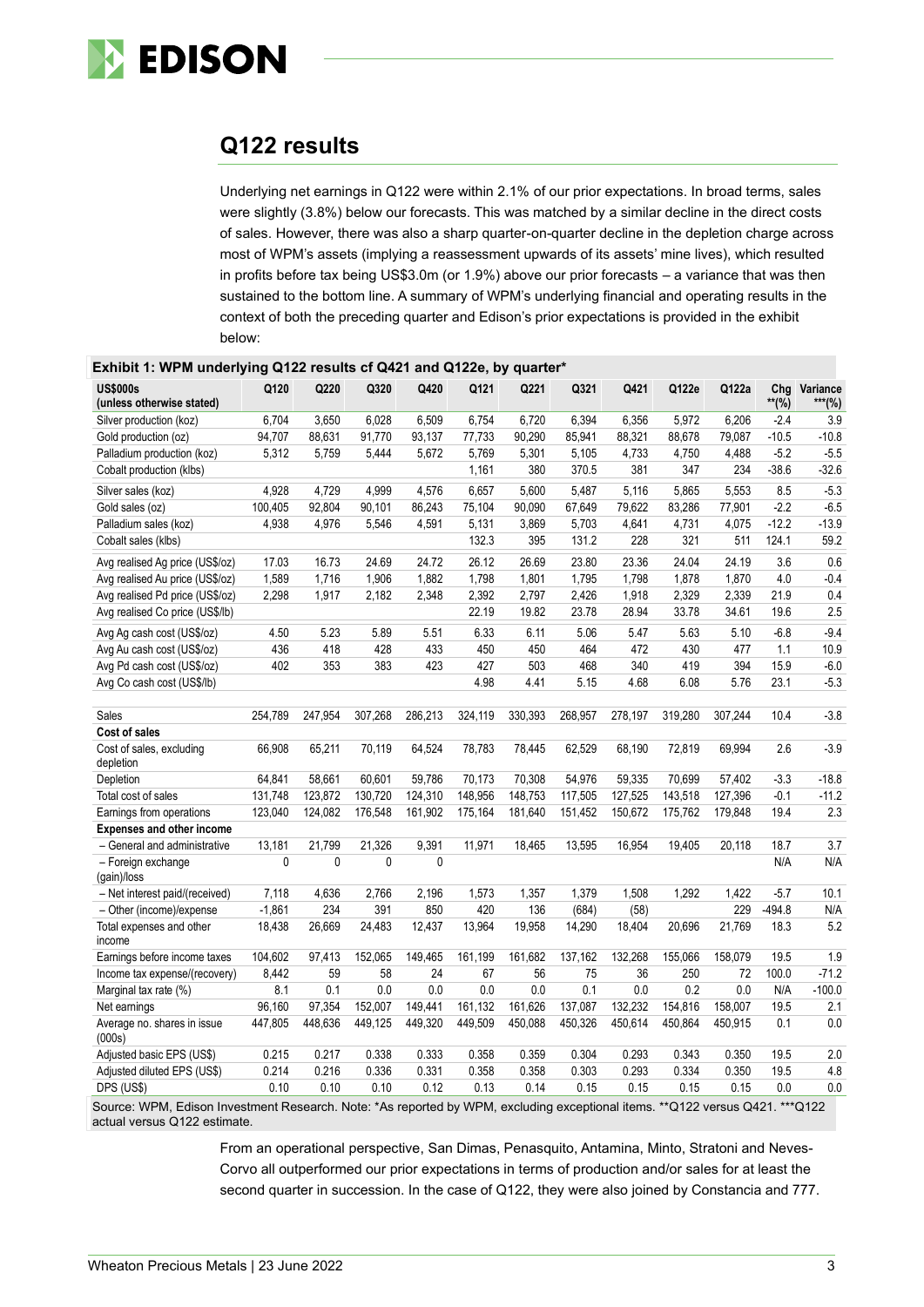

## **Q122 results**

Underlying net earnings in Q122 were within 2.1% of our prior expectations. In broad terms, sales were slightly (3.8%) below our forecasts. This was matched by a similar decline in the direct costs of sales. However, there was also a sharp quarter-on-quarter decline in the depletion charge across most of WPM's assets (implying a reassessment upwards of its assets' mine lives), which resulted in profits before tax being US\$3.0m (or 1.9%) above our prior forecasts – a variance that was then sustained to the bottom line. A summary of WPM's underlying financial and operating results in the context of both the preceding quarter and Edison's prior expectations is provided in the exhibit below:

| <b>US\$000s</b>                       | Q120        | Q220    | Q320    | Q420        | Q121    | Q221    | Q321    | Q421    | Q122e   | Q122a   | Chg      | Variance |
|---------------------------------------|-------------|---------|---------|-------------|---------|---------|---------|---------|---------|---------|----------|----------|
| (unless otherwise stated)             |             |         |         |             |         |         |         |         |         |         | $**$ (%) | ***(%)   |
| Silver production (koz)               | 6,704       | 3,650   | 6,028   | 6,509       | 6,754   | 6,720   | 6,394   | 6,356   | 5,972   | 6,206   | $-2.4$   | 3.9      |
| Gold production (oz)                  | 94,707      | 88,631  | 91,770  | 93,137      | 77,733  | 90,290  | 85,941  | 88,321  | 88,678  | 79,087  | $-10.5$  | $-10.8$  |
| Palladium production (koz)            | 5,312       | 5,759   | 5,444   | 5,672       | 5,769   | 5,301   | 5,105   | 4,733   | 4,750   | 4,488   | $-5.2$   | $-5.5$   |
| Cobalt production (klbs)              |             |         |         |             | 1,161   | 380     | 370.5   | 381     | 347     | 234     | $-38.6$  | $-32.6$  |
| Silver sales (koz)                    | 4,928       | 4,729   | 4,999   | 4,576       | 6,657   | 5,600   | 5,487   | 5,116   | 5,865   | 5,553   | 8.5      | $-5.3$   |
| Gold sales (oz)                       | 100,405     | 92,804  | 90,101  | 86,243      | 75,104  | 90,090  | 67,649  | 79,622  | 83,286  | 77,901  | $-2.2$   | $-6.5$   |
| Palladium sales (koz)                 | 4,938       | 4,976   | 5,546   | 4,591       | 5,131   | 3,869   | 5,703   | 4.641   | 4,731   | 4,075   | $-12.2$  | $-13.9$  |
| Cobalt sales (klbs)                   |             |         |         |             | 132.3   | 395     | 131.2   | 228     | 321     | 511     | 124.1    | 59.2     |
| Avg realised Ag price (US\$/oz)       | 17.03       | 16.73   | 24.69   | 24.72       | 26.12   | 26.69   | 23.80   | 23.36   | 24.04   | 24.19   | 3.6      | 0.6      |
| Avg realised Au price (US\$/oz)       | 1,589       | 1,716   | 1,906   | 1,882       | 1,798   | 1,801   | 1,795   | 1,798   | 1,878   | 1,870   | 4.0      | $-0.4$   |
| Avg realised Pd price (US\$/oz)       | 2,298       | 1,917   | 2,182   | 2,348       | 2,392   | 2,797   | 2,426   | 1,918   | 2,329   | 2,339   | 21.9     | 0.4      |
| Avg realised Co price (US\$/lb)       |             |         |         |             | 22.19   | 19.82   | 23.78   | 28.94   | 33.78   | 34.61   | 19.6     | 2.5      |
| Avg Ag cash cost (US\$/oz)            | 4.50        | 5.23    | 5.89    | 5.51        | 6.33    | 6.11    | 5.06    | 5.47    | 5.63    | 5.10    | $-6.8$   | $-9.4$   |
| Avg Au cash cost (US\$/oz)            | 436         | 418     | 428     | 433         | 450     | 450     | 464     | 472     | 430     | 477     | 1.1      | 10.9     |
| Avg Pd cash cost (US\$/oz)            | 402         | 353     | 383     | 423         | 427     | 503     | 468     | 340     | 419     | 394     | 15.9     | $-6.0$   |
| Avg Co cash cost (US\$/lb)            |             |         |         |             | 4.98    | 4.41    | 5.15    | 4.68    | 6.08    | 5.76    | 23.1     | $-5.3$   |
| Sales                                 | 254,789     | 247,954 | 307,268 | 286,213     | 324,119 | 330,393 | 268,957 | 278,197 | 319,280 | 307,244 | 10.4     | $-3.8$   |
| Cost of sales                         |             |         |         |             |         |         |         |         |         |         |          |          |
| Cost of sales, excluding              | 66,908      | 65,211  | 70.119  | 64,524      | 78,783  | 78.445  | 62,529  | 68.190  | 72.819  | 69.994  | 2.6      | $-3.9$   |
| depletion                             |             |         |         |             |         |         |         |         |         |         |          |          |
| Depletion                             | 64.841      | 58,661  | 60.601  | 59,786      | 70.173  | 70,308  | 54,976  | 59,335  | 70,699  | 57.402  | $-3.3$   | $-18.8$  |
| Total cost of sales                   | 131.748     | 123,872 | 130.720 | 124,310     | 148.956 | 148.753 | 117.505 | 127,525 | 143.518 | 127.396 | $-0.1$   | $-11.2$  |
| Earnings from operations              | 123,040     | 124,082 | 176,548 | 161,902     | 175,164 | 181,640 | 151,452 | 150,672 | 175,762 | 179,848 | 19.4     | 2.3      |
| <b>Expenses and other income</b>      |             |         |         |             |         |         |         |         |         |         |          |          |
| - General and administrative          | 13,181      | 21,799  | 21,326  | 9,391       | 11,971  | 18,465  | 13,595  | 16,954  | 19,405  | 20,118  | 18.7     | 3.7      |
| - Foreign exchange<br>(gain)/loss     | $\mathbf 0$ | 0       | 0       | $\mathbf 0$ |         |         |         |         |         |         | N/A      | N/A      |
| - Net interest paid/(received)        | 7,118       | 4,636   | 2,766   | 2,196       | 1,573   | 1,357   | 1,379   | 1,508   | 1,292   | 1,422   | $-5.7$   | 10.1     |
| - Other (income)/expense              | $-1,861$    | 234     | 391     | 850         | 420     | 136     | (684)   | (58)    |         | 229     | $-494.8$ | N/A      |
| Total expenses and other<br>income    | 18,438      | 26,669  | 24,483  | 12,437      | 13,964  | 19,958  | 14,290  | 18,404  | 20,696  | 21,769  | 18.3     | 5.2      |
| Earnings before income taxes          | 104.602     | 97,413  | 152,065 | 149.465     | 161.199 | 161.682 | 137.162 | 132,268 | 155,066 | 158.079 | 19.5     | 1.9      |
| Income tax expense/(recovery)         | 8,442       | 59      | 58      | 24          | 67      | 56      | 75      | 36      | 250     | 72      | 100.0    | $-71.2$  |
| Marginal tax rate (%)                 | 8.1         | 0.1     | 0.0     | 0.0         | 0.0     | 0.0     | 0.1     | 0.0     | 0.2     | 0.0     | N/A      | $-100.0$ |
| Net earnings                          | 96,160      | 97,354  | 152,007 | 149,441     | 161,132 | 161,626 | 137,087 | 132,232 | 154,816 | 158,007 | 19.5     | 2.1      |
| Average no. shares in issue<br>(000s) | 447,805     | 448,636 | 449,125 | 449,320     | 449,509 | 450,088 | 450,326 | 450,614 | 450,864 | 450,915 | 0.1      | 0.0      |
| Adjusted basic EPS (US\$)             | 0.215       | 0.217   | 0.338   | 0.333       | 0.358   | 0.359   | 0.304   | 0.293   | 0.343   | 0.350   | 19.5     | 2.0      |
| Adjusted diluted EPS (US\$)           | 0.214       | 0.216   | 0.336   | 0.331       | 0.358   | 0.358   | 0.303   | 0.293   | 0.334   | 0.350   | 19.5     | 4.8      |
| DPS (US\$)                            | 0.10        | 0.10    | 0.10    | 0.12        | 0.13    | 0.14    | 0.15    | 0.15    | 0.15    | 0.15    | 0.0      | 0.0      |

| Exhibit 1: WPM underlying Q122 results of Q421 and Q122e, by quarter* |  |  |
|-----------------------------------------------------------------------|--|--|

Source: WPM, Edison Investment Research. Note: \*As reported by WPM, excluding exceptional items. \*\*Q122 versus Q421. \*\*\*Q122 actual versus Q122 estimate.

> From an operational perspective, San Dimas, Penasquito, Antamina, Minto, Stratoni and Neves-Corvo all outperformed our prior expectations in terms of production and/or sales for at least the second quarter in succession. In the case of Q122, they were also joined by Constancia and 777.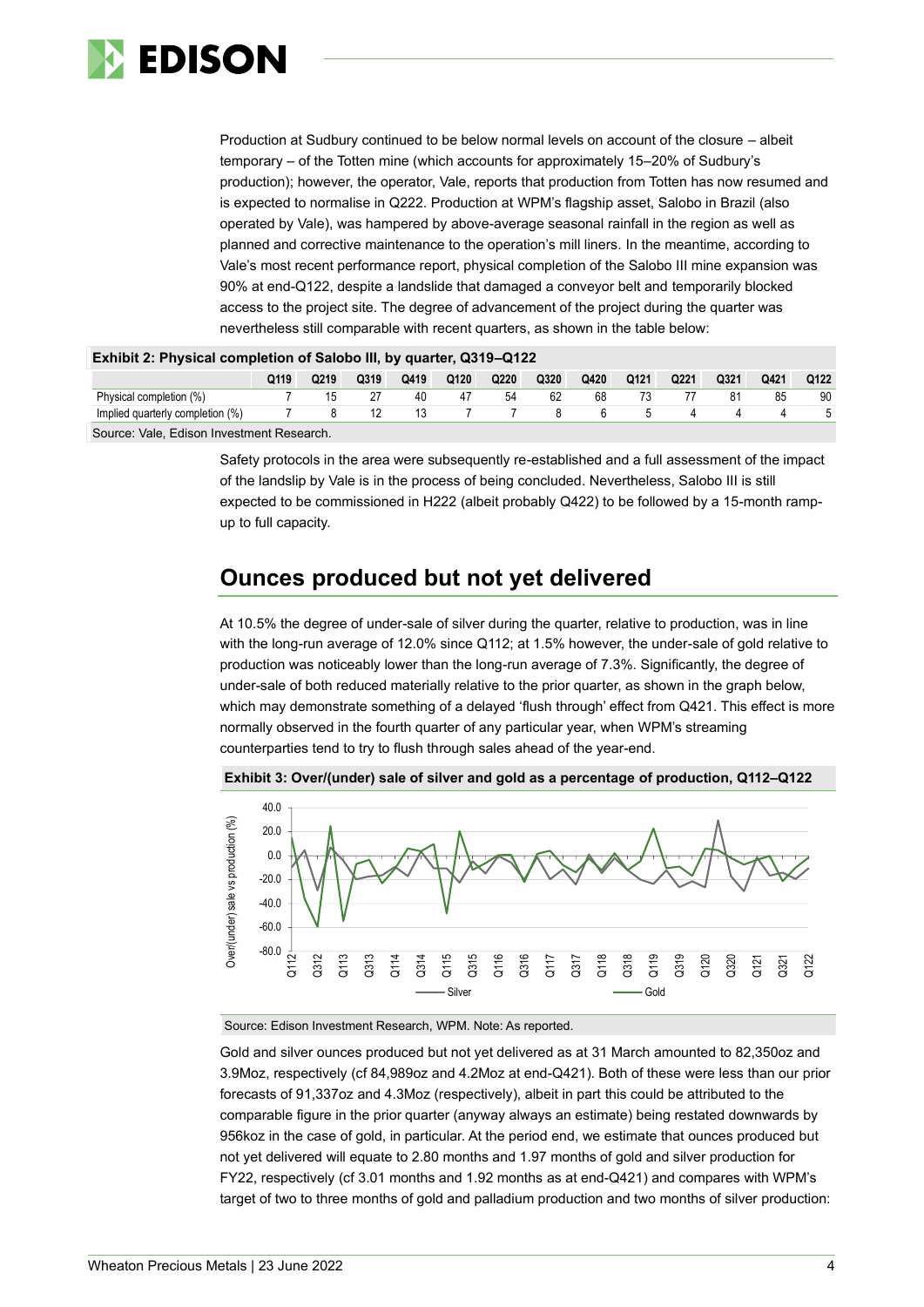

Production at Sudbury continued to be below normal levels on account of the closure – albeit temporary – of the Totten mine (which accounts for approximately 15–20% of Sudbury's production); however, the operator, Vale, reports that production from Totten has now resumed and is expected to normalise in Q222. Production at WPM's flagship asset, Salobo in Brazil (also operated by Vale), was hampered by above-average seasonal rainfall in the region as well as planned and corrective maintenance to the operation's mill liners. In the meantime, according to Vale's most recent performance report, physical completion of the Salobo III mine expansion was 90% at end-Q122, despite a landslide that damaged a conveyor belt and temporarily blocked access to the project site. The degree of advancement of the project during the quarter was nevertheless still comparable with recent quarters, as shown in the table below:

| EXHIBILE: FIIYSICAI COMPICION OF JANODO III, DY QUAHCH, QUID-QTZZ |      |      |      |      |      |      |      |      |      |      |      |      |      |
|-------------------------------------------------------------------|------|------|------|------|------|------|------|------|------|------|------|------|------|
|                                                                   | Q119 | Q219 | Q319 | Q419 | Q120 | Q220 | Q320 | Q420 | Q121 | Q221 | Q321 | Q421 | Q122 |
| Physical completion (%)                                           |      |      |      | 40   | 47   | 54   | 62   | 68   |      |      |      | 85   | 90   |
| Implied quarterly completion (%)<br>8<br>h<br>$\mathbf{h}$        |      |      |      |      |      |      |      |      |      |      |      |      |      |
| Course: Vale Edison Investment Desserab                           |      |      |      |      |      |      |      |      |      |      |      |      |      |

### **Exhibit 2: Physical completion of Salobo III, by quarter, Q319–Q122**

Source: Vale, Edison Investment Research.

Safety protocols in the area were subsequently re-established and a full assessment of the impact of the landslip by Vale is in the process of being concluded. Nevertheless, Salobo III is still expected to be commissioned in H222 (albeit probably Q422) to be followed by a 15-month rampup to full capacity.

## **Ounces produced but not yet delivered**

At 10.5% the degree of under-sale of silver during the quarter, relative to production, was in line with the long-run average of 12.0% since Q112; at 1.5% however, the under-sale of gold relative to production was noticeably lower than the long-run average of 7.3%. Significantly, the degree of under-sale of both reduced materially relative to the prior quarter, as shown in the graph below, which may demonstrate something of a delayed 'flush through' effect from Q421. This effect is more normally observed in the fourth quarter of any particular year, when WPM's streaming counterparties tend to try to flush through sales ahead of the year-end.



**Exhibit 3: Over/(under) sale of silver and gold as a percentage of production, Q112–Q122**

Source: Edison Investment Research, WPM. Note: As reported.

Gold and silver ounces produced but not yet delivered as at 31 March amounted to 82,350oz and 3.9Moz, respectively (cf 84,989oz and 4.2Moz at end-Q421). Both of these were less than our prior forecasts of 91,337oz and 4.3Moz (respectively), albeit in part this could be attributed to the comparable figure in the prior quarter (anyway always an estimate) being restated downwards by 956koz in the case of gold, in particular. At the period end, we estimate that ounces produced but not yet delivered will equate to 2.80 months and 1.97 months of gold and silver production for FY22, respectively (cf 3.01 months and 1.92 months as at end-Q421) and compares with WPM's target of two to three months of gold and palladium production and two months of silver production: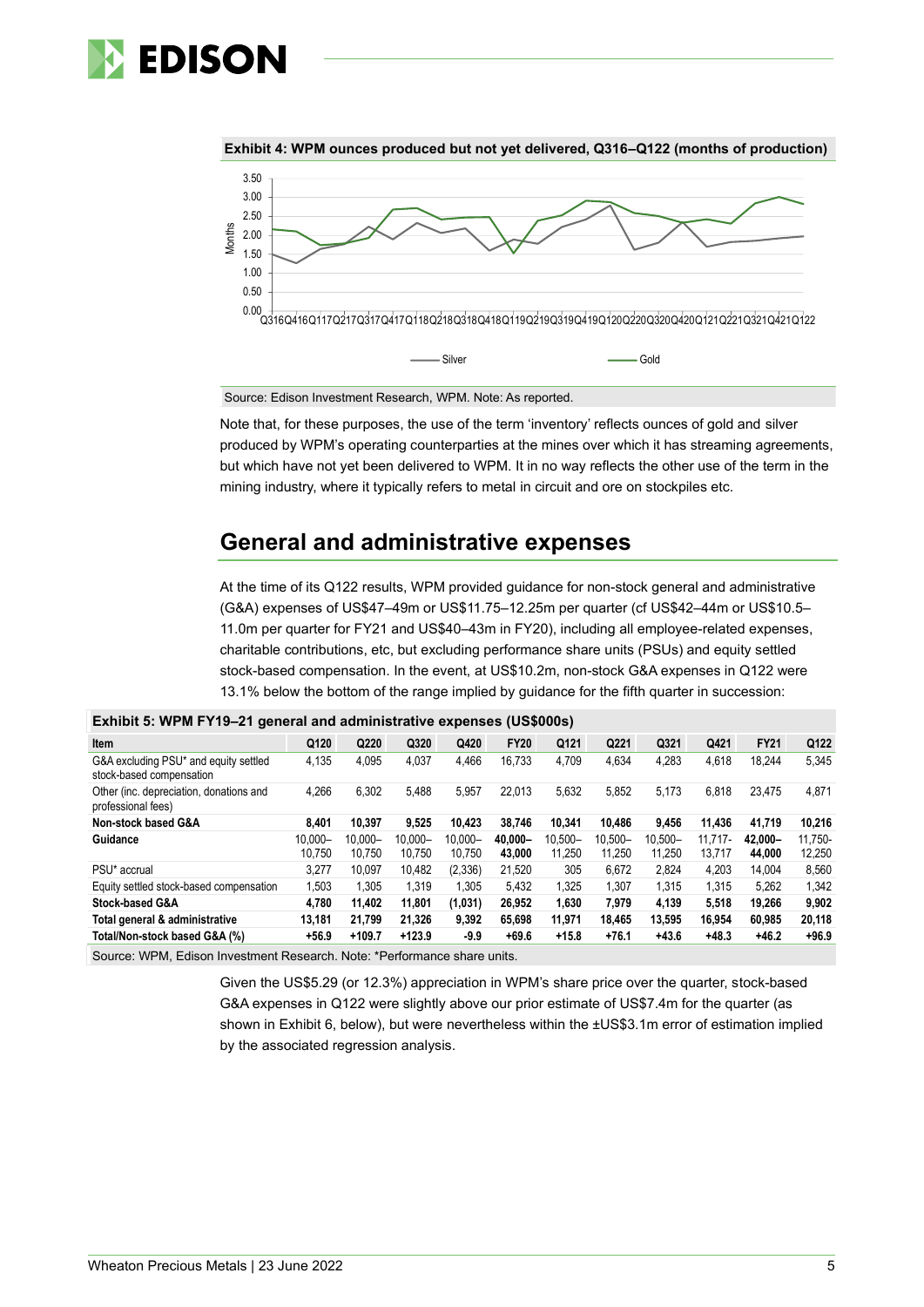



**Exhibit 4: WPM ounces produced but not yet delivered, Q316–Q122 (months of production)**

Source: Edison Investment Research, WPM. Note: As reported.

Note that, for these purposes, the use of the term 'inventory' reflects ounces of gold and silver produced by WPM's operating counterparties at the mines over which it has streaming agreements, but which have not yet been delivered to WPM. It in no way reflects the other use of the term in the mining industry, where it typically refers to metal in circuit and ore on stockpiles etc.

## **General and administrative expenses**

At the time of its Q122 results, WPM provided guidance for non-stock general and administrative (G&A) expenses of US\$47–49m or US\$11.75–12.25m per quarter (cf US\$42–44m or US\$10.5– 11.0m per quarter for FY21 and US\$40–43m in FY20), including all employee-related expenses, charitable contributions, etc, but excluding performance share units (PSUs) and equity settled stock-based compensation. In the event, at US\$10.2m, non-stock G&A expenses in Q122 were 13.1% below the bottom of the range implied by guidance for the fifth quarter in succession:

|                                                                   | <b>EXIMPLE 0.</b> THE IT IS TO THE MONDITRY MIND MAINING MARKET CAPONS (OCTOBE) |                      |                      |                      |                   |                   |                      |                      |                      |                   |                   |  |  |
|-------------------------------------------------------------------|---------------------------------------------------------------------------------|----------------------|----------------------|----------------------|-------------------|-------------------|----------------------|----------------------|----------------------|-------------------|-------------------|--|--|
| <b>Item</b>                                                       | Q120                                                                            | Q220                 | Q320                 | Q420                 | <b>FY20</b>       | Q121              | Q221                 | Q321                 | Q421                 | <b>FY21</b>       | Q122              |  |  |
| G&A excluding PSU* and equity settled<br>stock-based compensation | 4,135                                                                           | 4.095                | 4,037                | 4.466                | 16.733            | 4.709             | 4.634                | 4.283                | 4.618                | 18.244            | 5,345             |  |  |
| Other (inc. depreciation, donations and<br>professional fees)     | 4.266                                                                           | 6.302                | 5,488                | 5,957                | 22.013            | 5.632             | 5,852                | 5.173                | 6,818                | 23.475            | 4,871             |  |  |
| Non-stock based G&A                                               | 8.401                                                                           | 10.397               | 9.525                | 10.423               | 38.746            | 10.341            | 10.486               | 9.456                | 11,436               | 41.719            | 10,216            |  |  |
| Guidance                                                          | 10.000-<br>10.750                                                               | $10.000 -$<br>10.750 | $10.000 -$<br>10.750 | $10.000 -$<br>10.750 | 40.000-<br>43,000 | 10.500-<br>11.250 | $10.500 -$<br>11.250 | $10.500 -$<br>11.250 | $11.717 -$<br>13.717 | 42.000-<br>44.000 | 11.750-<br>12,250 |  |  |
| PSU <sup>*</sup> accrual                                          | 3.277                                                                           | 10.097               | 10.482               | (2,336)              | 21.520            | 305               | 6.672                | 2.824                | 4.203                | 14.004            | 8,560             |  |  |
| Equity settled stock-based compensation                           | 1,503                                                                           | 1.305                | 1.319                | 1.305                | 5,432             | 1.325             | 1.307                | 1.315                | 1.315                | 5.262             | 1,342             |  |  |
| <b>Stock-based G&amp;A</b>                                        | 4.780                                                                           | 11.402               | 11.801               | (1,031)              | 26.952            | 1.630             | 7.979                | 4.139                | 5,518                | 19.266            | 9,902             |  |  |
| Total general & administrative                                    | 13.181                                                                          | 21.799               | 21.326               | 9.392                | 65.698            | 11.971            | 18.465               | 13.595               | 16.954               | 60.985            | 20,118            |  |  |
| Total/Non-stock based G&A (%)                                     | $+56.9$                                                                         | $+109.7$             | $+123.9$             | $-9.9$               | $+69.6$           | $+15.8$           | $+76.1$              | $+43.6$              | $+48.3$              | $+46.2$           | $+96.9$           |  |  |
|                                                                   |                                                                                 |                      |                      |                      |                   |                   |                      |                      |                      |                   |                   |  |  |

#### **Exhibit 5: WPM FY19–21 general and administrative expenses (US\$000s)**

Source: WPM, Edison Investment Research. Note: \*Performance share units.

Given the US\$5.29 (or 12.3%) appreciation in WPM's share price over the quarter, stock-based G&A expenses in Q122 were slightly above our prior estimate of US\$7.4m for the quarter (as shown in Exhibit 6, below), but were nevertheless within the ±US\$3.1m error of estimation implied by the associated regression analysis.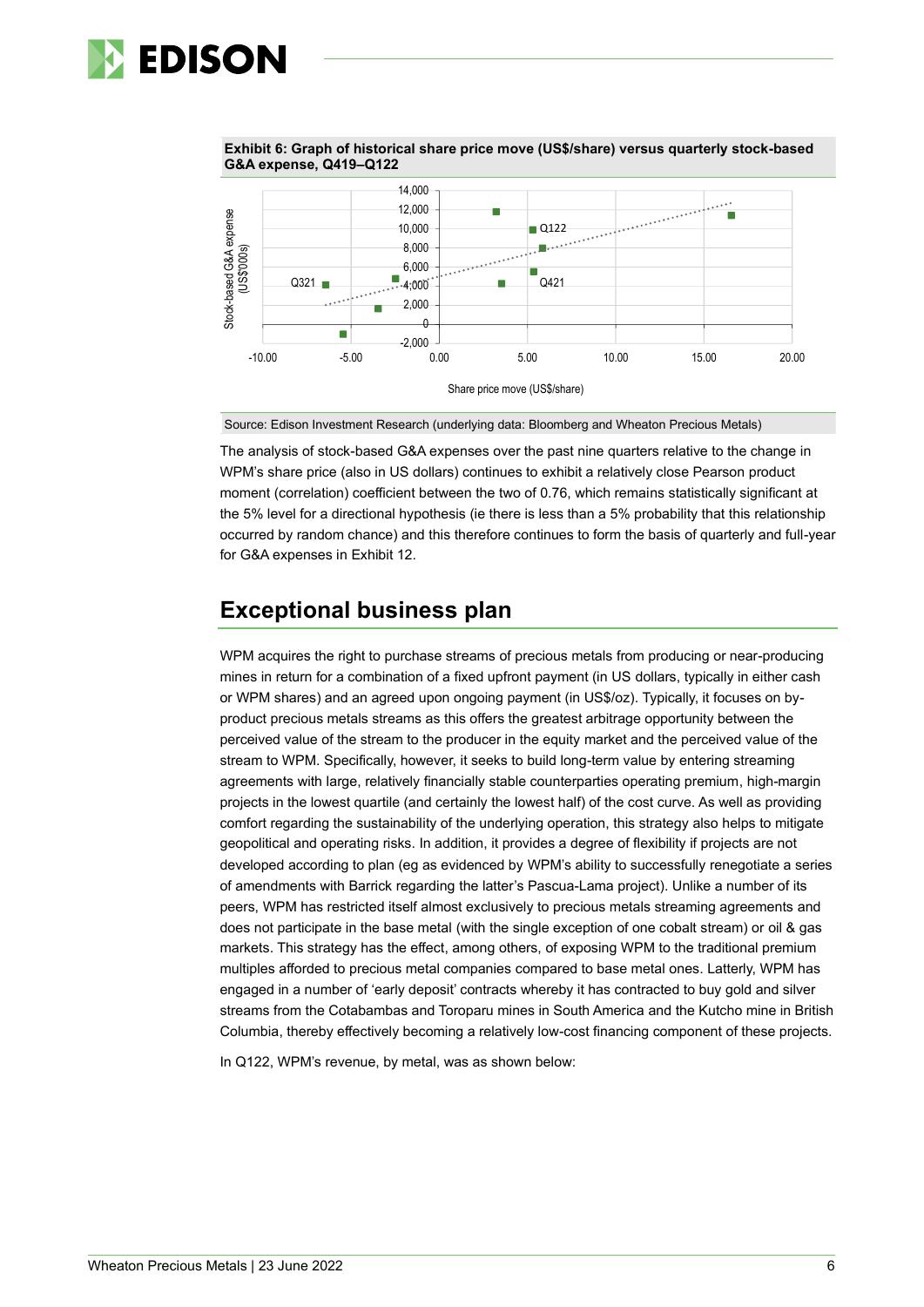

**Exhibit 6: Graph of historical share price move (US\$/share) versus quarterly stock-based G&A expense, Q419–Q122**



Source: Edison Investment Research (underlying data: Bloomberg and Wheaton Precious Metals)

The analysis of stock-based G&A expenses over the past nine quarters relative to the change in WPM's share price (also in US dollars) continues to exhibit a relatively close Pearson product moment (correlation) coefficient between the two of 0.76, which remains statistically significant at the 5% level for a directional hypothesis (ie there is less than a 5% probability that this relationship occurred by random chance) and this therefore continues to form the basis of quarterly and full-year for G&A expenses in Exhibit 12.

## **Exceptional business plan**

WPM acquires the right to purchase streams of precious metals from producing or near-producing mines in return for a combination of a fixed upfront payment (in US dollars, typically in either cash or WPM shares) and an agreed upon ongoing payment (in US\$/oz). Typically, it focuses on byproduct precious metals streams as this offers the greatest arbitrage opportunity between the perceived value of the stream to the producer in the equity market and the perceived value of the stream to WPM. Specifically, however, it seeks to build long-term value by entering streaming agreements with large, relatively financially stable counterparties operating premium, high-margin projects in the lowest quartile (and certainly the lowest half) of the cost curve. As well as providing comfort regarding the sustainability of the underlying operation, this strategy also helps to mitigate geopolitical and operating risks. In addition, it provides a degree of flexibility if projects are not developed according to plan (eg as evidenced by WPM's ability to successfully renegotiate a series of amendments with Barrick regarding the latter's Pascua-Lama project). Unlike a number of its peers, WPM has restricted itself almost exclusively to precious metals streaming agreements and does not participate in the base metal (with the single exception of one cobalt stream) or oil & gas markets. This strategy has the effect, among others, of exposing WPM to the traditional premium multiples afforded to precious metal companies compared to base metal ones. Latterly, WPM has engaged in a number of 'early deposit' contracts whereby it has contracted to buy gold and silver streams from the Cotabambas and Toroparu mines in South America and the Kutcho mine in British Columbia, thereby effectively becoming a relatively low-cost financing component of these projects.

In Q122, WPM's revenue, by metal, was as shown below: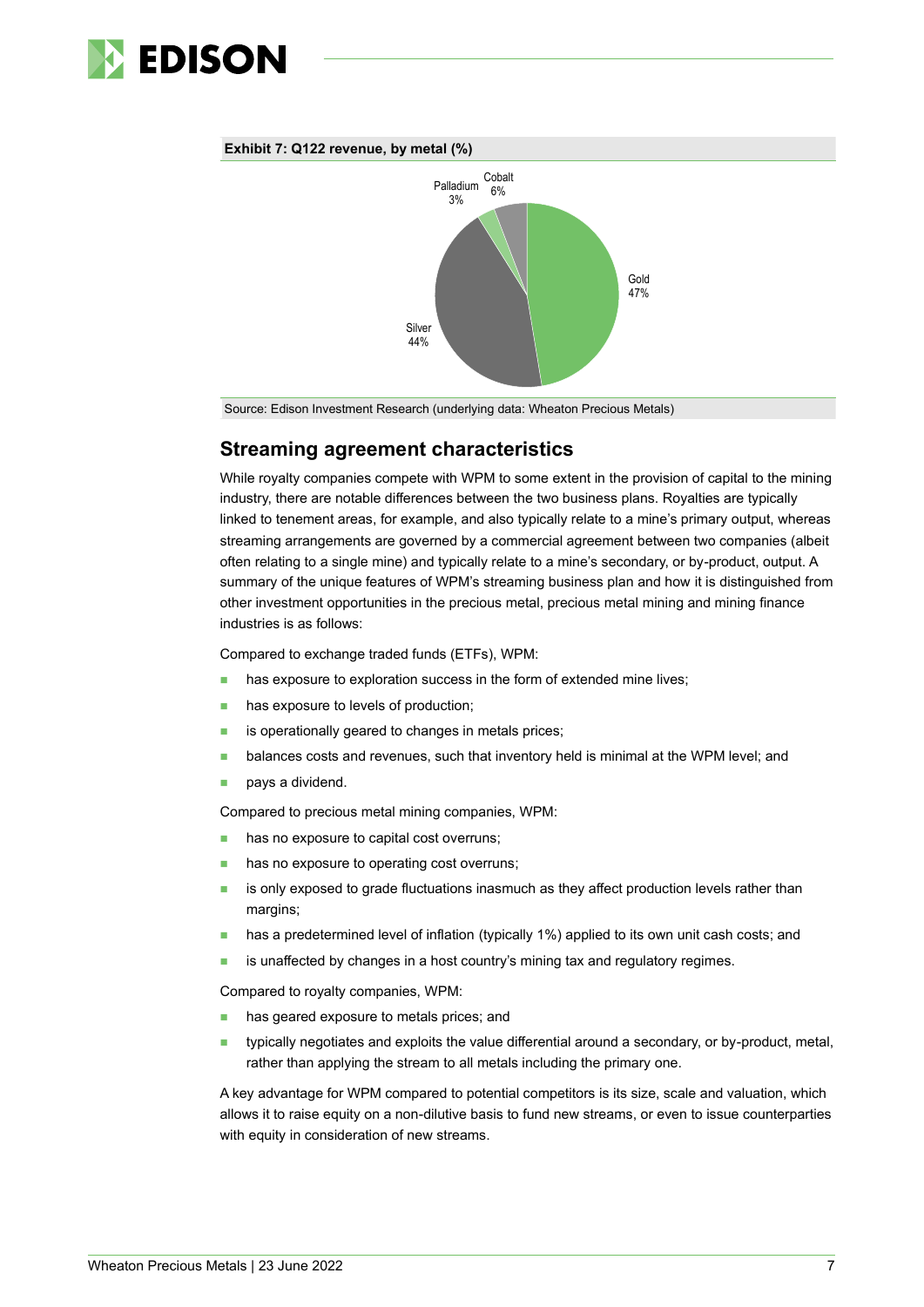

#### **Exhibit 7: Q122 revenue, by metal (%)**



Source: Edison Investment Research (underlying data: Wheaton Precious Metals)

## **Streaming agreement characteristics**

While royalty companies compete with WPM to some extent in the provision of capital to the mining industry, there are notable differences between the two business plans. Royalties are typically linked to tenement areas, for example, and also typically relate to a mine's primary output, whereas streaming arrangements are governed by a commercial agreement between two companies (albeit often relating to a single mine) and typically relate to a mine's secondary, or by-product, output. A summary of the unique features of WPM's streaming business plan and how it is distinguished from other investment opportunities in the precious metal, precious metal mining and mining finance industries is as follows:

Compared to exchange traded funds (ETFs), WPM:

- has exposure to exploration success in the form of extended mine lives:
- has exposure to levels of production;
- is operationally geared to changes in metals prices;
- **■** balances costs and revenues, such that inventory held is minimal at the WPM level; and
- pays a dividend.

Compared to precious metal mining companies, WPM:

- has no exposure to capital cost overruns;
- has no exposure to operating cost overruns;
- is only exposed to grade fluctuations inasmuch as they affect production levels rather than margins;
- has a predetermined level of inflation (typically 1%) applied to its own unit cash costs; and
- is unaffected by changes in a host country's mining tax and regulatory regimes.

Compared to royalty companies, WPM:

- has geared exposure to metals prices; and
- typically negotiates and exploits the value differential around a secondary, or by-product, metal, rather than applying the stream to all metals including the primary one.

A key advantage for WPM compared to potential competitors is its size, scale and valuation, which allows it to raise equity on a non-dilutive basis to fund new streams, or even to issue counterparties with equity in consideration of new streams.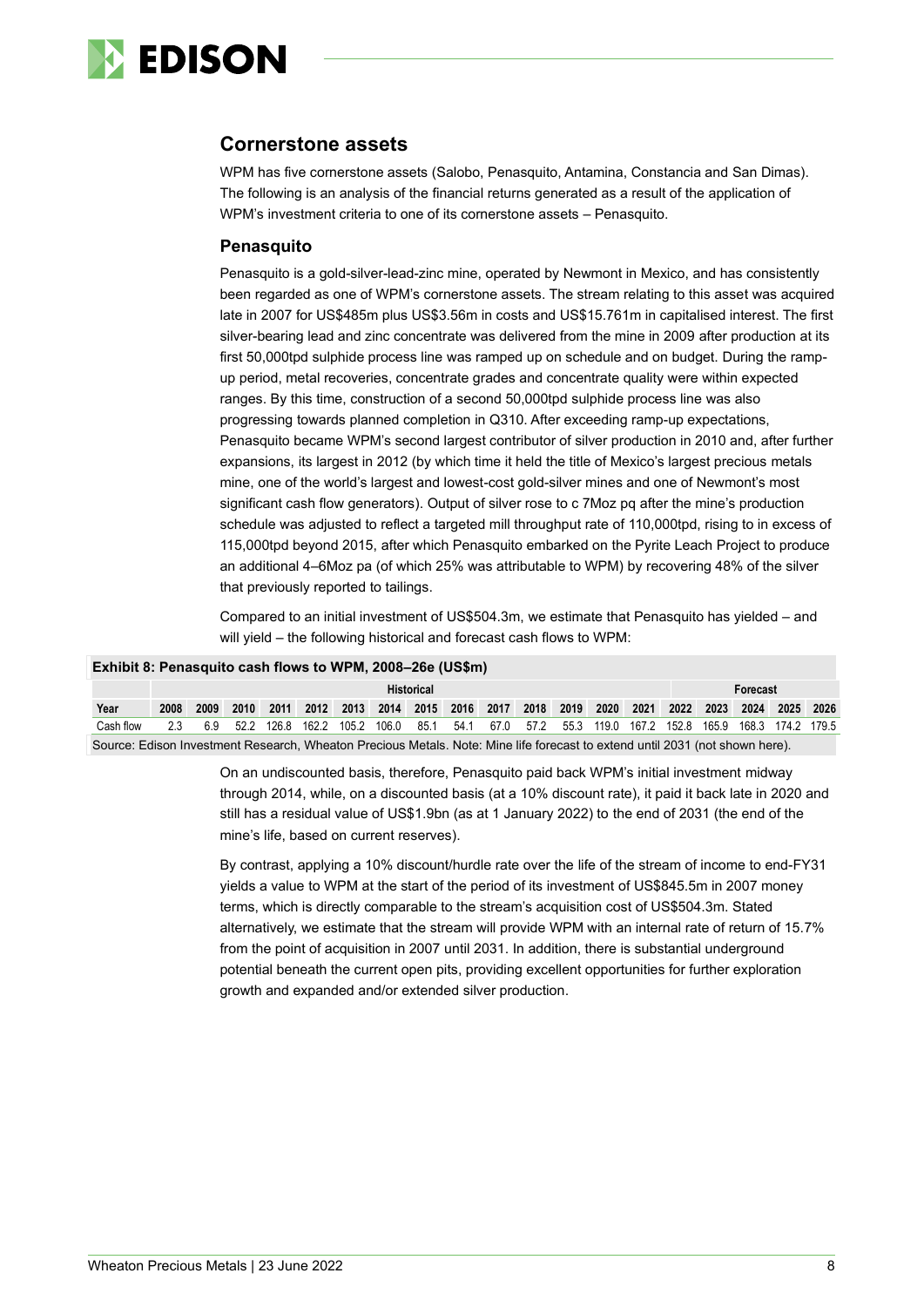

## **Cornerstone assets**

WPM has five cornerstone assets (Salobo, Penasquito, Antamina, Constancia and San Dimas). The following is an analysis of the financial returns generated as a result of the application of WPM's investment criteria to one of its cornerstone assets – Penasquito.

### **Penasquito**

Penasquito is a gold-silver-lead-zinc mine, operated by Newmont in Mexico, and has consistently been regarded as one of WPM's cornerstone assets. The stream relating to this asset was acquired late in 2007 for US\$485m plus US\$3.56m in costs and US\$15.761m in capitalised interest. The first silver-bearing lead and zinc concentrate was delivered from the mine in 2009 after production at its first 50,000tpd sulphide process line was ramped up on schedule and on budget. During the rampup period, metal recoveries, concentrate grades and concentrate quality were within expected ranges. By this time, construction of a second 50,000tpd sulphide process line was also progressing towards planned completion in Q310. After exceeding ramp-up expectations, Penasquito became WPM's second largest contributor of silver production in 2010 and, after further expansions, its largest in 2012 (by which time it held the title of Mexico's largest precious metals mine, one of the world's largest and lowest-cost gold-silver mines and one of Newmont's most significant cash flow generators). Output of silver rose to c 7Moz pq after the mine's production schedule was adjusted to reflect a targeted mill throughput rate of 110,000tpd, rising to in excess of 115,000tpd beyond 2015, after which Penasquito embarked on the Pyrite Leach Project to produce an additional 4–6Moz pa (of which 25% was attributable to WPM) by recovering 48% of the silver that previously reported to tailings.

Compared to an initial investment of US\$504.3m, we estimate that Penasquito has yielded – and will yield – the following historical and forecast cash flows to WPM:

|           | Exhibit 8: Penasquito cash flows to WPM, 2008-26e (US\$m) |      |      |       |                                    |  |       |      |      |      |          |      |       |                                         |       |  |                   |      |
|-----------|-----------------------------------------------------------|------|------|-------|------------------------------------|--|-------|------|------|------|----------|------|-------|-----------------------------------------|-------|--|-------------------|------|
|           | <b>Historical</b>                                         |      |      |       |                                    |  |       |      |      |      | Forecast |      |       |                                         |       |  |                   |      |
| Year      | 2008                                                      | 2009 | 2010 |       | 2011 2012 2013 2014 2015 2016 2017 |  |       |      |      |      |          |      |       | 2018 2019 2020 2021 2022 2023 2024 2025 |       |  |                   | 2026 |
| Cash flow | 23                                                        | 69   | 52.2 | 126.8 | 162.2 105.2                        |  | 106.0 | 85.1 | 54.1 | 67.0 | 57.2     | 55.3 | 119.0 | 167.2 152.8                             | 165.9 |  | 168.3 174.2 179.5 |      |

Source: Edison Investment Research, Wheaton Precious Metals. Note: Mine life forecast to extend until 2031 (not shown here).

On an undiscounted basis, therefore, Penasquito paid back WPM's initial investment midway through 2014, while, on a discounted basis (at a 10% discount rate), it paid it back late in 2020 and still has a residual value of US\$1.9bn (as at 1 January 2022) to the end of 2031 (the end of the mine's life, based on current reserves).

By contrast, applying a 10% discount/hurdle rate over the life of the stream of income to end-FY31 yields a value to WPM at the start of the period of its investment of US\$845.5m in 2007 money terms, which is directly comparable to the stream's acquisition cost of US\$504.3m. Stated alternatively, we estimate that the stream will provide WPM with an internal rate of return of 15.7% from the point of acquisition in 2007 until 2031. In addition, there is substantial underground potential beneath the current open pits, providing excellent opportunities for further exploration growth and expanded and/or extended silver production.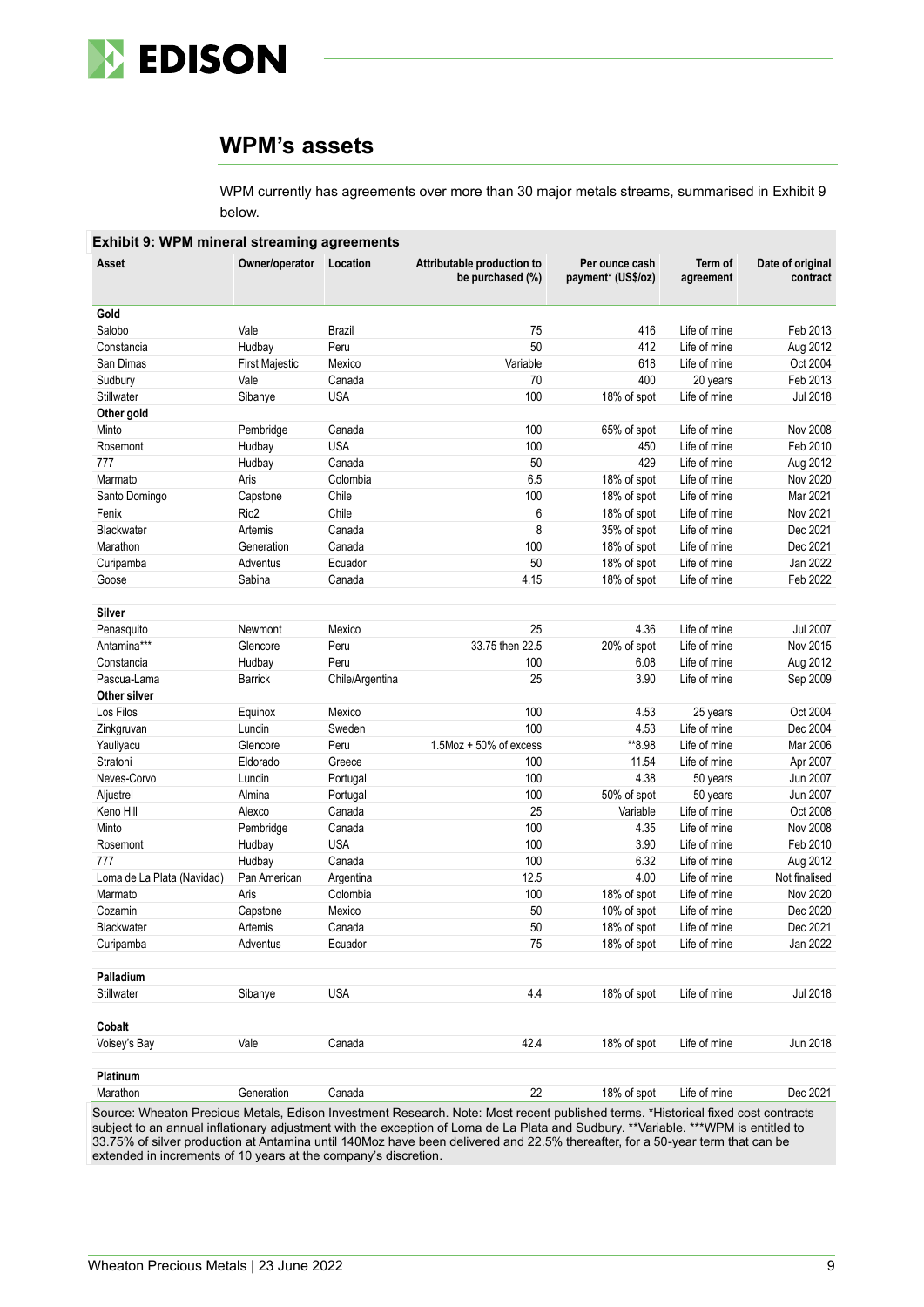

## **WPM's assets**

WPM currently has agreements over more than 30 major metals streams, summarised in Exhibit 9 below.

| Asset                      | Owner/operator        | Location        | Attributable production to<br>be purchased (%) | Per ounce cash<br>payment* (US\$/oz) | Term of<br>agreement | Date of original<br>contract |
|----------------------------|-----------------------|-----------------|------------------------------------------------|--------------------------------------|----------------------|------------------------------|
| Gold                       |                       |                 |                                                |                                      |                      |                              |
| Salobo                     | Vale                  | Brazil          | 75                                             | 416                                  | Life of mine         | Feb 2013                     |
| Constancia                 | Hudbay                | Peru            | 50                                             | 412                                  | Life of mine         | Aug 2012                     |
| San Dimas                  | <b>First Majestic</b> | Mexico          | Variable                                       | 618                                  | Life of mine         | Oct 2004                     |
| Sudbury                    | Vale                  | Canada          | 70                                             | 400                                  | 20 years             | Feb 2013                     |
| Stillwater                 | Sibanye               | <b>USA</b>      | 100                                            | 18% of spot                          | Life of mine         | Jul 2018                     |
| Other gold                 |                       |                 |                                                |                                      |                      |                              |
| Minto                      | Pembridge             | Canada          | 100                                            | 65% of spot                          | Life of mine         | <b>Nov 2008</b>              |
| Rosemont                   | Hudbay                | <b>USA</b>      | 100                                            | 450                                  | Life of mine         | Feb 2010                     |
| 777                        | Hudbay                | Canada          | 50                                             | 429                                  | Life of mine         | Aug 2012                     |
| Marmato                    | Aris                  | Colombia        | 6.5                                            | 18% of spot                          | Life of mine         | Nov 2020                     |
| Santo Domingo              | Capstone              | Chile           | 100                                            | 18% of spot                          | Life of mine         | Mar 2021                     |
| Fenix                      | Rio <sub>2</sub>      | Chile           | 6                                              | 18% of spot                          | Life of mine         | Nov 2021                     |
| Blackwater                 | Artemis               | Canada          | 8                                              | 35% of spot                          | Life of mine         | Dec 2021                     |
| Marathon                   | Generation            | Canada          | 100                                            | 18% of spot                          | Life of mine         | Dec 2021                     |
| Curipamba                  | Adventus              | Ecuador         | 50                                             | 18% of spot                          | Life of mine         | Jan 2022                     |
| Goose                      | Sabina                | Canada          | 4.15                                           | 18% of spot                          | Life of mine         | Feb 2022                     |
|                            |                       |                 |                                                |                                      |                      |                              |
| Silver                     |                       |                 |                                                |                                      |                      |                              |
| Penasquito                 | Newmont               | Mexico          | 25                                             | 4.36                                 | Life of mine         | <b>Jul 2007</b>              |
| Antamina***                | Glencore              | Peru            | 33.75 then 22.5                                | 20% of spot                          | Life of mine         | Nov 2015                     |
| Constancia                 | Hudbay                | Peru            | 100                                            | 6.08                                 | Life of mine         | Aug 2012                     |
| Pascua-Lama                | <b>Barrick</b>        | Chile/Argentina | 25                                             | 3.90                                 | Life of mine         | Sep 2009                     |
| Other silver               |                       |                 |                                                |                                      |                      |                              |
| Los Filos                  | Equinox               | Mexico          | 100                                            | 4.53                                 | 25 years             | Oct 2004                     |
| Zinkgruvan                 | Lundin                | Sweden          | 100                                            | 4.53                                 | Life of mine         | Dec 2004                     |
| Yauliyacu                  | Glencore              | Peru            | 1.5Moz + 50% of excess                         | **8.98                               | Life of mine         | Mar 2006                     |
| Stratoni                   | Eldorado              | Greece          | 100                                            | 11.54                                | Life of mine         | Apr 2007                     |
| Neves-Corvo                | Lundin                | Portugal        | 100                                            | 4.38                                 | 50 years             | Jun 2007                     |
| Aljustrel                  | Almina                | Portugal        | 100                                            | 50% of spot                          | 50 years             | Jun 2007                     |
| Keno Hill                  | Alexco                | Canada          | 25                                             | Variable                             | Life of mine         | Oct 2008                     |
| Minto                      | Pembridge             | Canada          | 100                                            | 4.35                                 | Life of mine         | Nov 2008                     |
| Rosemont                   | Hudbay                | <b>USA</b>      | 100                                            | 3.90                                 | Life of mine         | Feb 2010                     |
| 777                        | Hudbay                | Canada          | 100                                            | 6.32                                 | Life of mine         | Aug 2012                     |
| Loma de La Plata (Navidad) | Pan American          | Argentina       | 12.5                                           | 4.00                                 | Life of mine         | Not finalised                |
| Marmato                    | Aris                  | Colombia        | 100                                            | 18% of spot                          | Life of mine         | Nov 2020                     |
| Cozamin                    | Capstone              | Mexico          | 50                                             | 10% of spot                          | Life of mine         | Dec 2020                     |
| Blackwater                 | Artemis               | Canada          | 50                                             | 18% of spot                          | Life of mine         | Dec 2021                     |
| Curipamba                  | Adventus              | Ecuador         | 75                                             | 18% of spot                          | Life of mine         | Jan 2022                     |
| Palladium                  |                       |                 |                                                |                                      |                      |                              |
| Stillwater                 | Sibanye               | <b>USA</b>      | 4.4                                            | 18% of spot                          | Life of mine         | Jul 2018                     |
| Cobalt                     |                       |                 |                                                |                                      |                      |                              |
| Voisey's Bay               | Vale                  | Canada          | 42.4                                           | 18% of spot                          | Life of mine         | Jun 2018                     |
| Platinum                   |                       |                 |                                                |                                      |                      |                              |
| Marathon                   | Generation            | Canada          | 22                                             | 18% of spot                          | Life of mine         | Dec 2021                     |

Source: Wheaton Precious Metals, Edison Investment Research. Note: Most recent published terms. \*Historical fixed cost contracts subject to an annual inflationary adjustment with the exception of Loma de La Plata and Sudbury. \*\*Variable. \*\*\*WPM is entitled to 33.75% of silver production at Antamina until 140Moz have been delivered and 22.5% thereafter, for a 50-year term that can be extended in increments of 10 years at the company's discretion.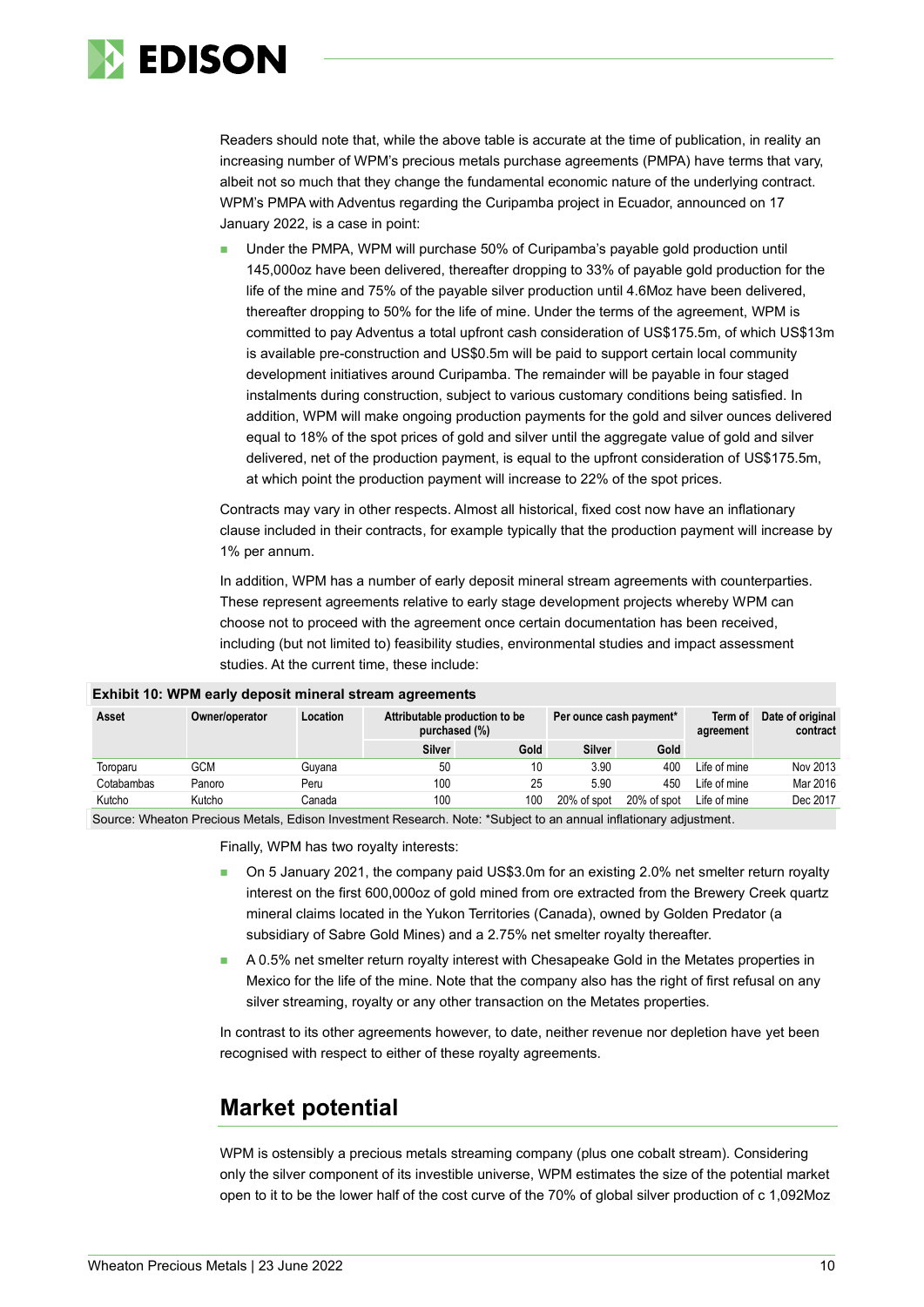

Readers should note that, while the above table is accurate at the time of publication, in reality an increasing number of WPM's precious metals purchase agreements (PMPA) have terms that vary, albeit not so much that they change the fundamental economic nature of the underlying contract. WPM's PMPA with Adventus regarding the Curipamba project in Ecuador, announced on 17 January 2022, is a case in point:

Under the PMPA, WPM will purchase 50% of Curipamba's payable gold production until 145,000oz have been delivered, thereafter dropping to 33% of payable gold production for the life of the mine and 75% of the payable silver production until 4.6Moz have been delivered, thereafter dropping to 50% for the life of mine. Under the terms of the agreement, WPM is committed to pay Adventus a total upfront cash consideration of US\$175.5m, of which US\$13m is available pre-construction and US\$0.5m will be paid to support certain local community development initiatives around Curipamba. The remainder will be payable in four staged instalments during construction, subject to various customary conditions being satisfied. In addition, WPM will make ongoing production payments for the gold and silver ounces delivered equal to 18% of the spot prices of gold and silver until the aggregate value of gold and silver delivered, net of the production payment, is equal to the upfront consideration of US\$175.5m, at which point the production payment will increase to 22% of the spot prices.

Contracts may vary in other respects. Almost all historical, fixed cost now have an inflationary clause included in their contracts, for example typically that the production payment will increase by 1% per annum.

In addition, WPM has a number of early deposit mineral stream agreements with counterparties. These represent agreements relative to early stage development projects whereby WPM can choose not to proceed with the agreement once certain documentation has been received, including (but not limited to) feasibility studies, environmental studies and impact assessment studies. At the current time, these include:

| <b>EXIMPLE 10. WE'M GATLY DEPOSIT INTIGRAL SUBATLE AGREEMENTS</b> |                |          |                                                |             |                         |             |                      |                              |  |  |  |  |
|-------------------------------------------------------------------|----------------|----------|------------------------------------------------|-------------|-------------------------|-------------|----------------------|------------------------------|--|--|--|--|
| Asset                                                             | Owner/operator | Location | Attributable production to be<br>purchased (%) |             | Per ounce cash payment* |             | Term of<br>agreement | Date of original<br>contract |  |  |  |  |
|                                                                   |                |          | <b>Silver</b>                                  | <b>Gold</b> | <b>Silver</b>           | Gold        |                      |                              |  |  |  |  |
| Toroparu                                                          | GCM            | Guvana   | 50                                             | 10          | 3.90                    | 400         | Life of mine         | Nov 2013                     |  |  |  |  |
| Cotabambas                                                        | Panoro         | Peru     | 100                                            | 25          | 5.90                    | 450         | Life of mine         | Mar 2016                     |  |  |  |  |
| Kutcho                                                            | Kutcho         | Canada   | 100                                            | 100         | 20% of spot             | 20% of spot | Life of mine         | Dec 2017                     |  |  |  |  |

#### **Exhibit 10: WPM early deposit mineral stream agreements**

Source: Wheaton Precious Metals, Edison Investment Research. Note: \*Subject to an annual inflationary adjustment.

Finally, WPM has two royalty interests:

- On 5 January 2021, the company paid US\$3.0m for an existing 2.0% net smelter return royalty interest on the first 600,000oz of gold mined from ore extracted from the Brewery Creek quartz mineral claims located in the Yukon Territories (Canada), owned by Golden Predator (a subsidiary of Sabre Gold Mines) and a 2.75% net smelter royalty thereafter.
- A 0.5% net smelter return royalty interest with Chesapeake Gold in the Metates properties in Mexico for the life of the mine. Note that the company also has the right of first refusal on any silver streaming, royalty or any other transaction on the Metates properties.

In contrast to its other agreements however, to date, neither revenue nor depletion have yet been recognised with respect to either of these royalty agreements.

## **Market potential**

WPM is ostensibly a precious metals streaming company (plus one cobalt stream). Considering only the silver component of its investible universe, WPM estimates the size of the potential market open to it to be the lower half of the cost curve of the 70% of global silver production of c 1,092Moz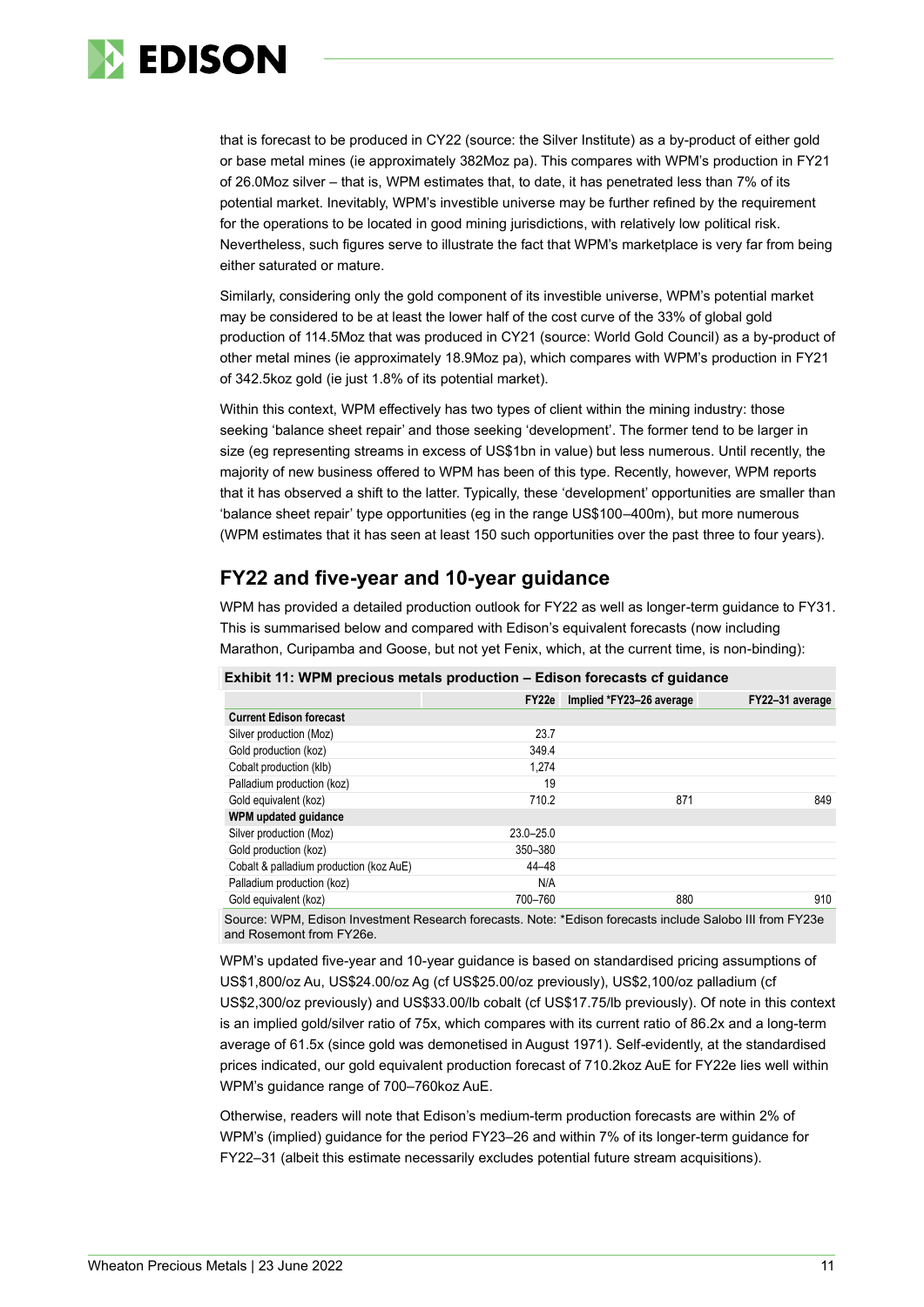

that is forecast to be produced in CY22 (source: the Silver Institute) as a by-product of either gold or base metal mines (ie approximately 382Moz pa). This compares with WPM's production in FY21 of 26.0Moz silver – that is, WPM estimates that, to date, it has penetrated less than 7% of its potential market. Inevitably, WPM's investible universe may be further refined by the requirement for the operations to be located in good mining jurisdictions, with relatively low political risk. Nevertheless, such figures serve to illustrate the fact that WPM's marketplace is very far from being either saturated or mature.

Similarly, considering only the gold component of its investible universe, WPM's potential market may be considered to be at least the lower half of the cost curve of the 33% of global gold production of 114.5Moz that was produced in CY21 (source: World Gold Council) as a by-product of other metal mines (ie approximately 18.9Moz pa), which compares with WPM's production in FY21 of 342.5koz gold (ie just 1.8% of its potential market).

Within this context, WPM effectively has two types of client within the mining industry: those seeking 'balance sheet repair' and those seeking 'development'. The former tend to be larger in size (eg representing streams in excess of US\$1bn in value) but less numerous. Until recently, the majority of new business offered to WPM has been of this type. Recently, however, WPM reports that it has observed a shift to the latter. Typically, these 'development' opportunities are smaller than 'balance sheet repair' type opportunities (eg in the range US\$100–400m), but more numerous (WPM estimates that it has seen at least 150 such opportunities over the past three to four years).

## **FY22 and five-year and 10-year guidance**

WPM has provided a detailed production outlook for FY22 as well as longer-term guidance to FY31. This is summarised below and compared with Edison's equivalent forecasts (now including Marathon, Curipamba and Goose, but not yet Fenix, which, at the current time, is non-binding):

#### **Exhibit 11: WPM precious metals production – Edison forecasts cf guidance**

|                                         | FY <sub>22e</sub> | Implied *FY23-26 average | FY22-31 average |
|-----------------------------------------|-------------------|--------------------------|-----------------|
| <b>Current Edison forecast</b>          |                   |                          |                 |
| Silver production (Moz)                 | 23.7              |                          |                 |
| Gold production (koz)                   | 349.4             |                          |                 |
| Cobalt production (klb)                 | 1.274             |                          |                 |
| Palladium production (koz)              | 19                |                          |                 |
| Gold equivalent (koz)                   | 710.2             | 871                      | 849             |
| WPM updated guidance                    |                   |                          |                 |
| Silver production (Moz)                 | $23.0 - 25.0$     |                          |                 |
| Gold production (koz)                   | 350-380           |                          |                 |
| Cobalt & palladium production (koz AuE) | 44-48             |                          |                 |
| Palladium production (koz)              | N/A               |                          |                 |
| Gold equivalent (koz)                   | 700-760           | 880                      | 910             |

Source: WPM, Edison Investment Research forecasts. Note: \*Edison forecasts include Salobo III from FY23e and Rosemont from FY26e.

WPM's updated five-year and 10-year guidance is based on standardised pricing assumptions of US\$1,800/oz Au, US\$24.00/oz Ag (cf US\$25.00/oz previously), US\$2,100/oz palladium (cf US\$2,300/oz previously) and US\$33.00/lb cobalt (cf US\$17.75/lb previously). Of note in this context is an implied gold/silver ratio of 75x, which compares with its current ratio of 86.2x and a long-term average of 61.5x (since gold was demonetised in August 1971). Self-evidently, at the standardised prices indicated, our gold equivalent production forecast of 710.2koz AuE for FY22e lies well within WPM's guidance range of 700–760koz AuE.

Otherwise, readers will note that Edison's medium-term production forecasts are within 2% of WPM's (implied) guidance for the period FY23–26 and within 7% of its longer-term guidance for FY22–31 (albeit this estimate necessarily excludes potential future stream acquisitions).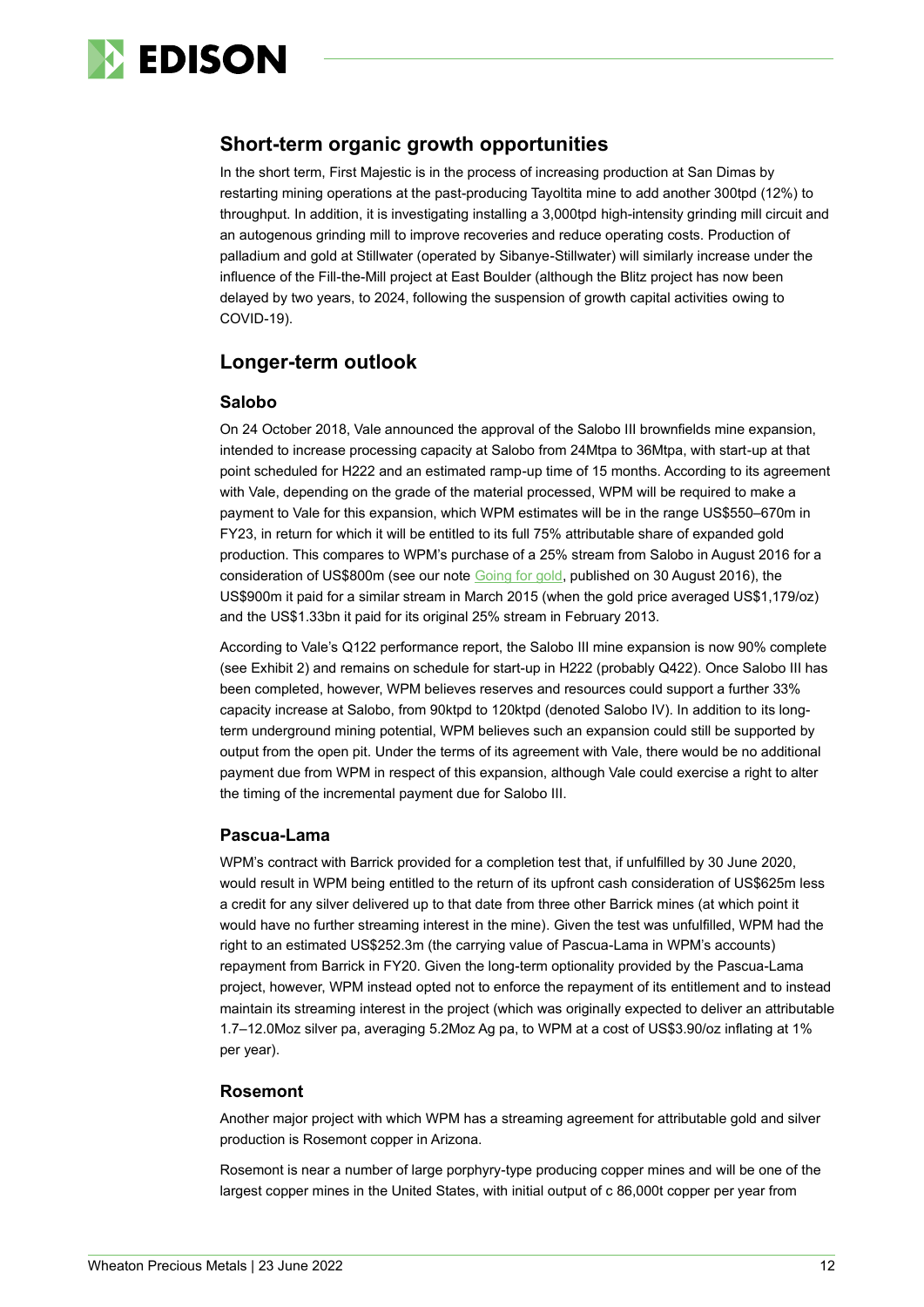

## **Short-term organic growth opportunities**

In the short term, First Majestic is in the process of increasing production at San Dimas by restarting mining operations at the past-producing Tayoltita mine to add another 300tpd (12%) to throughput. In addition, it is investigating installing a 3,000tpd high-intensity grinding mill circuit and an autogenous grinding mill to improve recoveries and reduce operating costs. Production of palladium and gold at Stillwater (operated by Sibanye-Stillwater) will similarly increase under the influence of the Fill-the-Mill project at East Boulder (although the Blitz project has now been delayed by two years, to 2024, following the suspension of growth capital activities owing to COVID-19).

## **Longer-term outlook**

### **Salobo**

On 24 October 2018, Vale announced the approval of the Salobo III brownfields mine expansion, intended to increase processing capacity at Salobo from 24Mtpa to 36Mtpa, with start-up at that point scheduled for H222 and an estimated ramp-up time of 15 months. According to its agreement with Vale, depending on the grade of the material processed, WPM will be required to make a payment to Vale for this expansion, which WPM estimates will be in the range US\$550–670m in FY23, in return for which it will be entitled to its full 75% attributable share of expanded gold production. This compares to WPM's purchase of a 25% stream from Salobo in August 2016 for a consideration of US\$800m (see our note [Going for gold,](https://www.edisoninvestmentresearch.com/research/report/silver-wheaton19/preview/) published on 30 August 2016), the US\$900m it paid for a similar stream in March 2015 (when the gold price averaged US\$1,179/oz) and the US\$1.33bn it paid for its original 25% stream in February 2013.

According to Vale's Q122 performance report, the Salobo III mine expansion is now 90% complete (see Exhibit 2) and remains on schedule for start-up in H222 (probably Q422). Once Salobo III has been completed, however, WPM believes reserves and resources could support a further 33% capacity increase at Salobo, from 90ktpd to 120ktpd (denoted Salobo IV). In addition to its longterm underground mining potential, WPM believes such an expansion could still be supported by output from the open pit. Under the terms of its agreement with Vale, there would be no additional payment due from WPM in respect of this expansion, although Vale could exercise a right to alter the timing of the incremental payment due for Salobo III.

### **Pascua-Lama**

WPM's contract with Barrick provided for a completion test that, if unfulfilled by 30 June 2020, would result in WPM being entitled to the return of its upfront cash consideration of US\$625m less a credit for any silver delivered up to that date from three other Barrick mines (at which point it would have no further streaming interest in the mine). Given the test was unfulfilled, WPM had the right to an estimated US\$252.3m (the carrying value of Pascua-Lama in WPM's accounts) repayment from Barrick in FY20. Given the long-term optionality provided by the Pascua-Lama project, however, WPM instead opted not to enforce the repayment of its entitlement and to instead maintain its streaming interest in the project (which was originally expected to deliver an attributable 1.7–12.0Moz silver pa, averaging 5.2Moz Ag pa, to WPM at a cost of US\$3.90/oz inflating at 1% per year).

### **Rosemont**

Another major project with which WPM has a streaming agreement for attributable gold and silver production is Rosemont copper in Arizona.

Rosemont is near a number of large porphyry-type producing copper mines and will be one of the largest copper mines in the United States, with initial output of c 86,000t copper per year from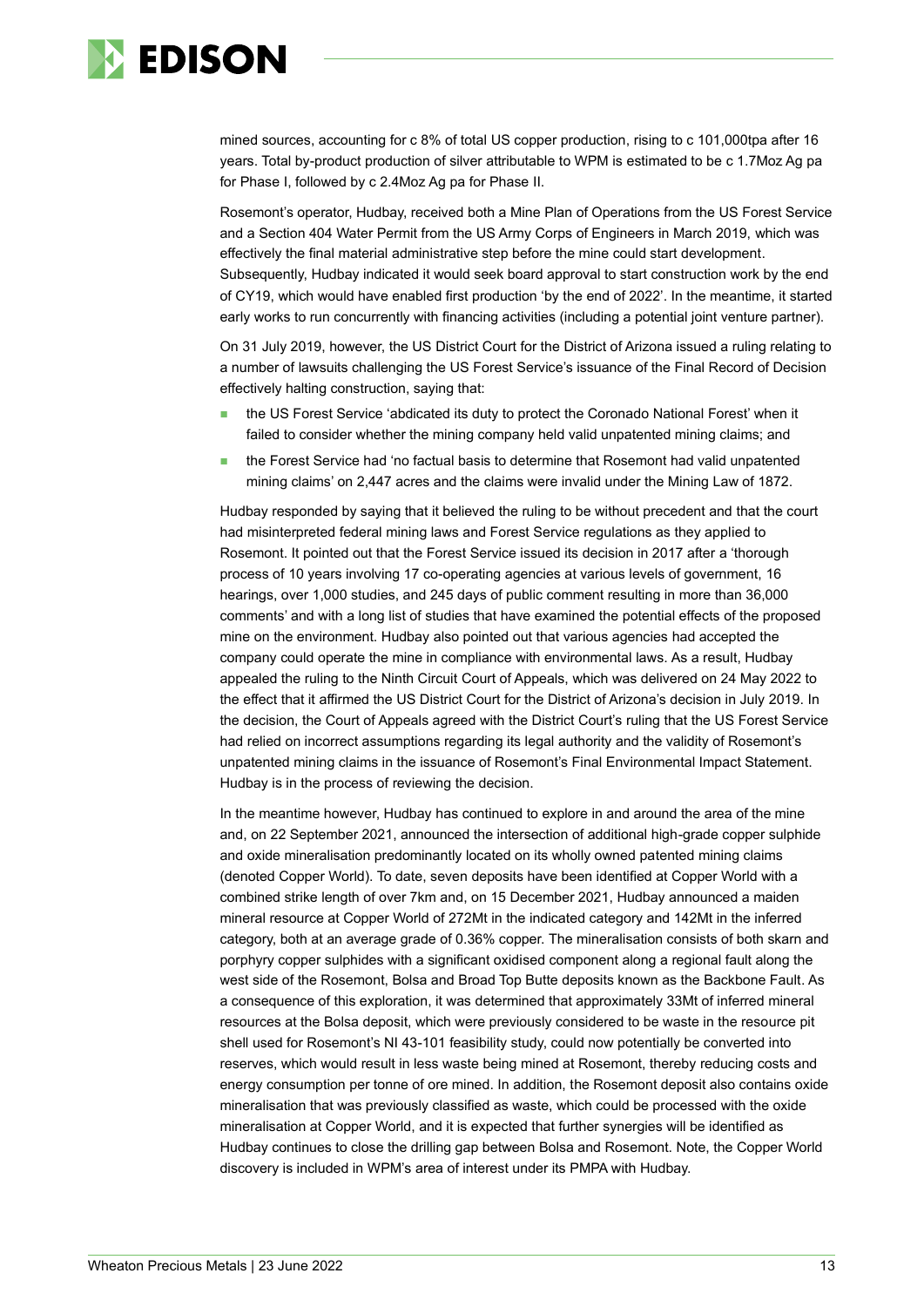

mined sources, accounting for c 8% of total US copper production, rising to c 101,000tpa after 16 years. Total by-product production of silver attributable to WPM is estimated to be c 1.7Moz Ag pa for Phase I, followed by c 2.4Moz Ag pa for Phase II.

Rosemont's operator, Hudbay, received both a Mine Plan of Operations from the US Forest Service and a Section 404 Water Permit from the US Army Corps of Engineers in March 2019, which was effectively the final material administrative step before the mine could start development. Subsequently, Hudbay indicated it would seek board approval to start construction work by the end of CY19, which would have enabled first production 'by the end of 2022'. In the meantime, it started early works to run concurrently with financing activities (including a potential joint venture partner).

On 31 July 2019, however, the US District Court for the District of Arizona issued a ruling relating to a number of lawsuits challenging the US Forest Service's issuance of the Final Record of Decision effectively halting construction, saying that:

- the US Forest Service 'abdicated its duty to protect the Coronado National Forest' when it failed to consider whether the mining company held valid unpatented mining claims; and
- ◼ the Forest Service had 'no factual basis to determine that Rosemont had valid unpatented mining claims' on 2,447 acres and the claims were invalid under the Mining Law of 1872.

Hudbay responded by saying that it believed the ruling to be without precedent and that the court had misinterpreted federal mining laws and Forest Service regulations as they applied to Rosemont. It pointed out that the Forest Service issued its decision in 2017 after a 'thorough process of 10 years involving 17 co-operating agencies at various levels of government, 16 hearings, over 1,000 studies, and 245 days of public comment resulting in more than 36,000 comments' and with a long list of studies that have examined the potential effects of the proposed mine on the environment. Hudbay also pointed out that various agencies had accepted the company could operate the mine in compliance with environmental laws. As a result, Hudbay appealed the ruling to the Ninth Circuit Court of Appeals, which was delivered on 24 May 2022 to the effect that it affirmed the US District Court for the District of Arizona's decision in July 2019. In the decision, the Court of Appeals agreed with the District Court's ruling that the US Forest Service had relied on incorrect assumptions regarding its legal authority and the validity of Rosemont's unpatented mining claims in the issuance of Rosemont's Final Environmental Impact Statement. Hudbay is in the process of reviewing the decision.

In the meantime however, Hudbay has continued to explore in and around the area of the mine and, on 22 September 2021, announced the intersection of additional high-grade copper sulphide and oxide mineralisation predominantly located on its wholly owned patented mining claims (denoted Copper World). To date, seven deposits have been identified at Copper World with a combined strike length of over 7km and, on 15 December 2021, Hudbay announced a maiden mineral resource at Copper World of 272Mt in the indicated category and 142Mt in the inferred category, both at an average grade of 0.36% copper. The mineralisation consists of both skarn and porphyry copper sulphides with a significant oxidised component along a regional fault along the west side of the Rosemont, Bolsa and Broad Top Butte deposits known as the Backbone Fault. As a consequence of this exploration, it was determined that approximately 33Mt of inferred mineral resources at the Bolsa deposit, which were previously considered to be waste in the resource pit shell used for Rosemont's NI 43-101 feasibility study, could now potentially be converted into reserves, which would result in less waste being mined at Rosemont, thereby reducing costs and energy consumption per tonne of ore mined. In addition, the Rosemont deposit also contains oxide mineralisation that was previously classified as waste, which could be processed with the oxide mineralisation at Copper World, and it is expected that further synergies will be identified as Hudbay continues to close the drilling gap between Bolsa and Rosemont. Note, the Copper World discovery is included in WPM's area of interest under its PMPA with Hudbay.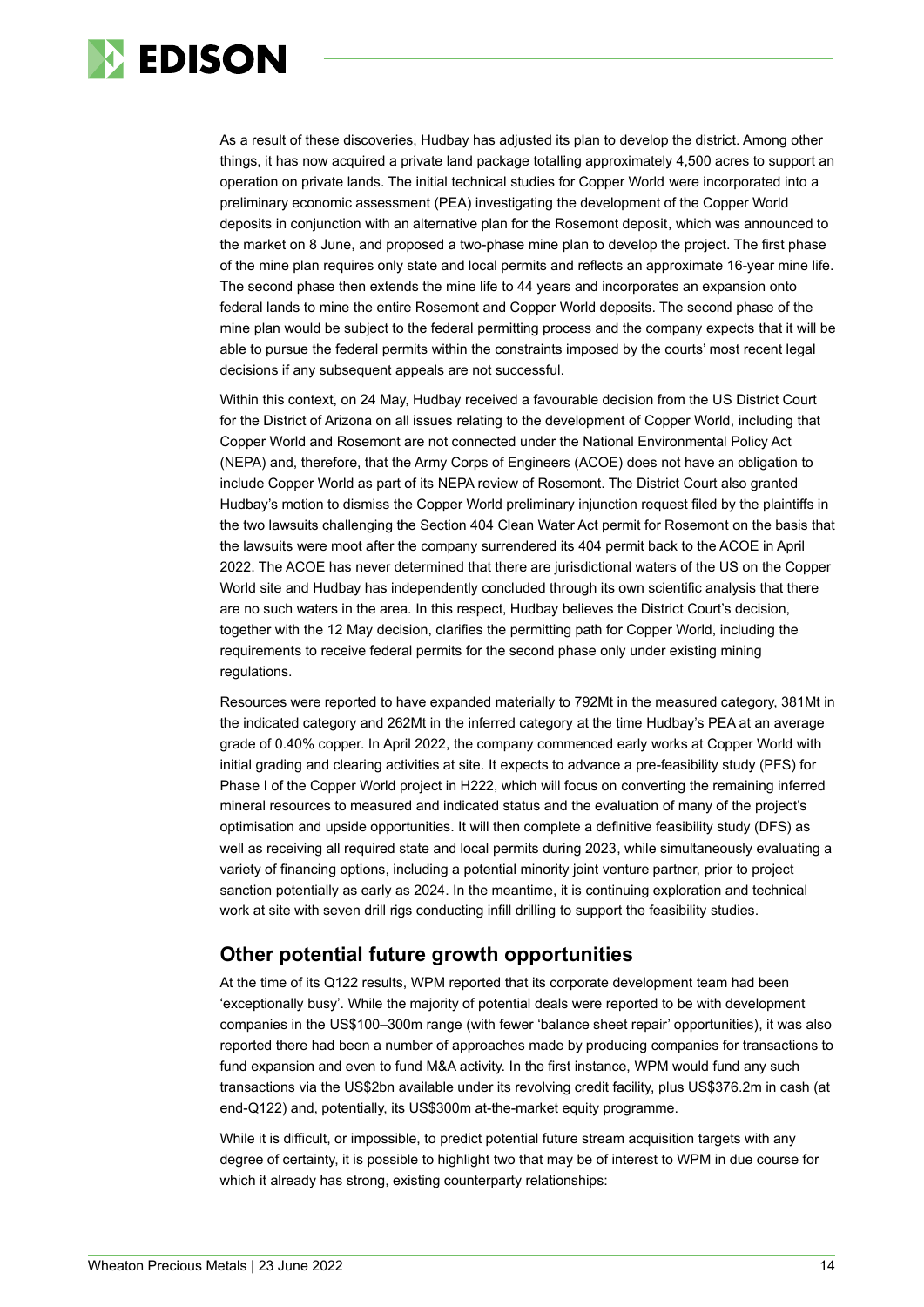

As a result of these discoveries, Hudbay has adjusted its plan to develop the district. Among other things, it has now acquired a private land package totalling approximately 4,500 acres to support an operation on private lands. The initial technical studies for Copper World were incorporated into a preliminary economic assessment (PEA) investigating the development of the Copper World deposits in conjunction with an alternative plan for the Rosemont deposit, which was announced to the market on 8 June, and proposed a two-phase mine plan to develop the project. The first phase of the mine plan requires only state and local permits and reflects an approximate 16-year mine life. The second phase then extends the mine life to 44 years and incorporates an expansion onto federal lands to mine the entire Rosemont and Copper World deposits. The second phase of the mine plan would be subject to the federal permitting process and the company expects that it will be able to pursue the federal permits within the constraints imposed by the courts' most recent legal decisions if any subsequent appeals are not successful.

Within this context, on 24 May, Hudbay received a favourable decision from the US District Court for the District of Arizona on all issues relating to the development of Copper World, including that Copper World and Rosemont are not connected under the National Environmental Policy Act (NEPA) and, therefore, that the Army Corps of Engineers (ACOE) does not have an obligation to include Copper World as part of its NEPA review of Rosemont. The District Court also granted Hudbay's motion to dismiss the Copper World preliminary injunction request filed by the plaintiffs in the two lawsuits challenging the Section 404 Clean Water Act permit for Rosemont on the basis that the lawsuits were moot after the company surrendered its 404 permit back to the ACOE in April 2022. The ACOE has never determined that there are jurisdictional waters of the US on the Copper World site and Hudbay has independently concluded through its own scientific analysis that there are no such waters in the area. In this respect, Hudbay believes the District Court's decision, together with the 12 May decision, clarifies the permitting path for Copper World, including the requirements to receive federal permits for the second phase only under existing mining regulations.

Resources were reported to have expanded materially to 792Mt in the measured category, 381Mt in the indicated category and 262Mt in the inferred category at the time Hudbay's PEA at an average grade of 0.40% copper. In April 2022, the company commenced early works at Copper World with initial grading and clearing activities at site. It expects to advance a pre-feasibility study (PFS) for Phase I of the Copper World project in H222, which will focus on converting the remaining inferred mineral resources to measured and indicated status and the evaluation of many of the project's optimisation and upside opportunities. It will then complete a definitive feasibility study (DFS) as well as receiving all required state and local permits during 2023, while simultaneously evaluating a variety of financing options, including a potential minority joint venture partner, prior to project sanction potentially as early as 2024. In the meantime, it is continuing exploration and technical work at site with seven drill rigs conducting infill drilling to support the feasibility studies.

## **Other potential future growth opportunities**

At the time of its Q122 results, WPM reported that its corporate development team had been 'exceptionally busy'. While the majority of potential deals were reported to be with development companies in the US\$100–300m range (with fewer 'balance sheet repair' opportunities), it was also reported there had been a number of approaches made by producing companies for transactions to fund expansion and even to fund M&A activity. In the first instance, WPM would fund any such transactions via the US\$2bn available under its revolving credit facility, plus US\$376.2m in cash (at end-Q122) and, potentially, its US\$300m at-the-market equity programme.

While it is difficult, or impossible, to predict potential future stream acquisition targets with any degree of certainty, it is possible to highlight two that may be of interest to WPM in due course for which it already has strong, existing counterparty relationships: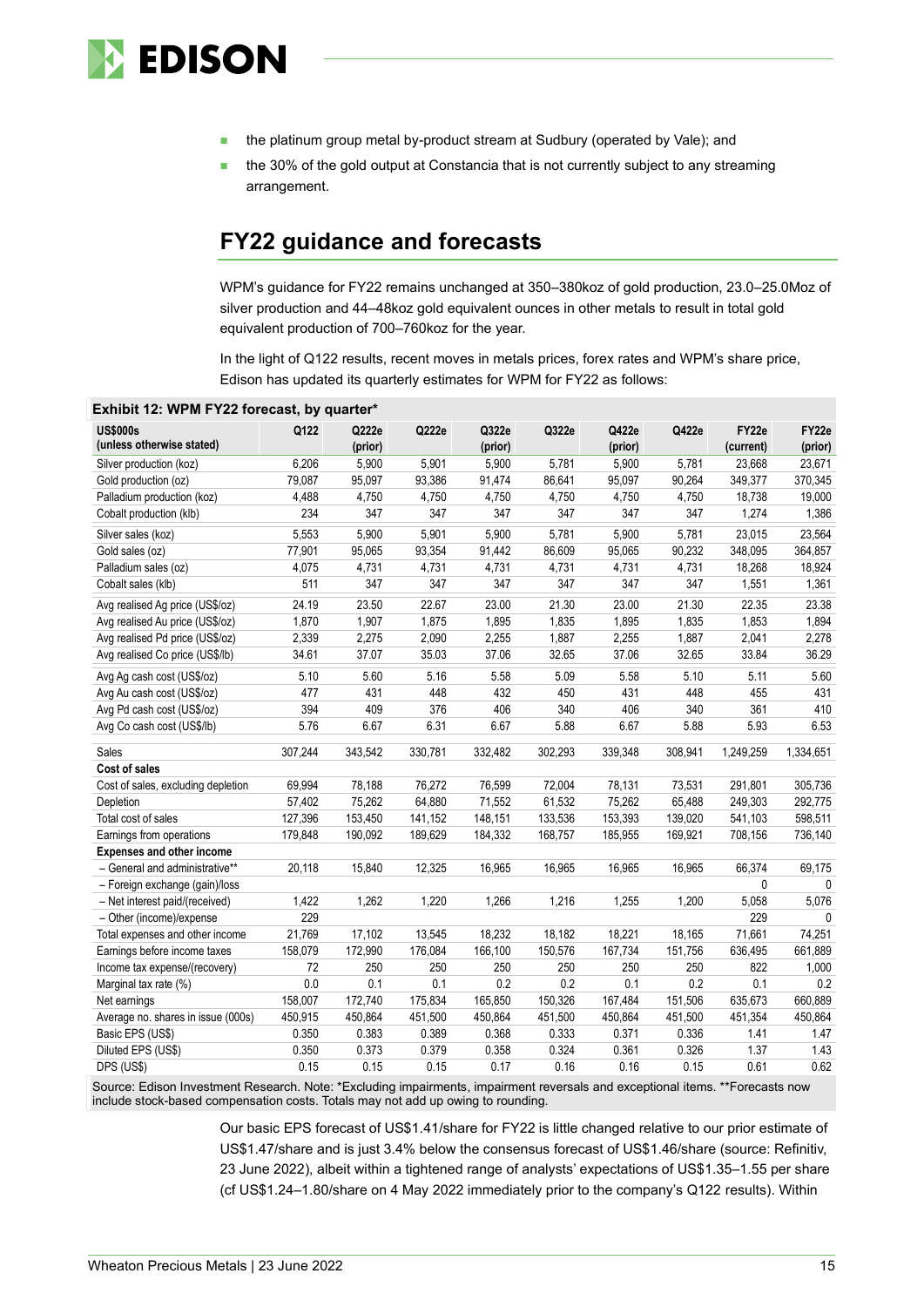

- the platinum group metal by-product stream at Sudbury (operated by Vale); and
- the 30% of the gold output at Constancia that is not currently subject to any streaming arrangement.

## **FY22 guidance and forecasts**

WPM's guidance for FY22 remains unchanged at 350–380koz of gold production, 23.0–25.0Moz of silver production and 44–48koz gold equivalent ounces in other metals to result in total gold equivalent production of 700–760koz for the year.

In the light of Q122 results, recent moves in metals prices, forex rates and WPM's share price, Edison has updated its quarterly estimates for WPM for FY22 as follows:

| <b>US\$000s</b>                    | Q122    | Q222e   | Q222e   | Q322e   | Q322e   | Q422e   | Q422e   | FY22e     | FY22e        |
|------------------------------------|---------|---------|---------|---------|---------|---------|---------|-----------|--------------|
| (unless otherwise stated)          |         | (prior) |         | (prior) |         | (prior) |         | (current) | (prior)      |
| Silver production (koz)            | 6,206   | 5,900   | 5,901   | 5,900   | 5,781   | 5,900   | 5,781   | 23,668    | 23,671       |
| Gold production (oz)               | 79,087  | 95,097  | 93,386  | 91,474  | 86,641  | 95,097  | 90,264  | 349,377   | 370,345      |
| Palladium production (koz)         | 4,488   | 4,750   | 4,750   | 4,750   | 4,750   | 4,750   | 4,750   | 18,738    | 19,000       |
| Cobalt production (klb)            | 234     | 347     | 347     | 347     | 347     | 347     | 347     | 1,274     | 1,386        |
| Silver sales (koz)                 | 5,553   | 5,900   | 5,901   | 5,900   | 5,781   | 5,900   | 5,781   | 23,015    | 23,564       |
| Gold sales (oz)                    | 77,901  | 95,065  | 93,354  | 91,442  | 86,609  | 95,065  | 90,232  | 348,095   | 364,857      |
| Palladium sales (oz)               | 4,075   | 4,731   | 4,731   | 4,731   | 4,731   | 4,731   | 4,731   | 18,268    | 18,924       |
| Cobalt sales (klb)                 | 511     | 347     | 347     | 347     | 347     | 347     | 347     | 1,551     | 1,361        |
| Avg realised Ag price (US\$/oz)    | 24.19   | 23.50   | 22.67   | 23.00   | 21.30   | 23.00   | 21.30   | 22.35     | 23.38        |
| Avg realised Au price (US\$/oz)    | 1,870   | 1,907   | 1,875   | 1,895   | 1,835   | 1,895   | 1,835   | 1,853     | 1,894        |
| Avg realised Pd price (US\$/oz)    | 2,339   | 2,275   | 2,090   | 2,255   | 1,887   | 2,255   | 1,887   | 2,041     | 2,278        |
| Avg realised Co price (US\$/lb)    | 34.61   | 37.07   | 35.03   | 37.06   | 32.65   | 37.06   | 32.65   | 33.84     | 36.29        |
| Avg Ag cash cost (US\$/oz)         | 5.10    | 5.60    | 5.16    | 5.58    | 5.09    | 5.58    | 5.10    | 5.11      | 5.60         |
| Avg Au cash cost (US\$/oz)         | 477     | 431     | 448     | 432     | 450     | 431     | 448     | 455       | 431          |
| Avg Pd cash cost (US\$/oz)         | 394     | 409     | 376     | 406     | 340     | 406     | 340     | 361       | 410          |
| Avg Co cash cost (US\$/lb)         | 5.76    | 6.67    | 6.31    | 6.67    | 5.88    | 6.67    | 5.88    | 5.93      | 6.53         |
| Sales                              | 307,244 | 343,542 | 330,781 | 332,482 | 302,293 | 339,348 | 308,941 | 1,249,259 | 1,334,651    |
| Cost of sales                      |         |         |         |         |         |         |         |           |              |
| Cost of sales, excluding depletion | 69,994  | 78,188  | 76,272  | 76,599  | 72,004  | 78,131  | 73,531  | 291,801   | 305,736      |
| Depletion                          | 57,402  | 75,262  | 64,880  | 71,552  | 61,532  | 75,262  | 65,488  | 249,303   | 292,775      |
| Total cost of sales                | 127,396 | 153,450 | 141,152 | 148,151 | 133,536 | 153,393 | 139,020 | 541,103   | 598,511      |
| Earnings from operations           | 179,848 | 190,092 | 189,629 | 184,332 | 168,757 | 185,955 | 169,921 | 708,156   | 736,140      |
| <b>Expenses and other income</b>   |         |         |         |         |         |         |         |           |              |
| - General and administrative**     | 20,118  | 15,840  | 12,325  | 16,965  | 16,965  | 16,965  | 16,965  | 66,374    | 69,175       |
| - Foreign exchange (gain)/loss     |         |         |         |         |         |         |         | 0         | $\Omega$     |
| - Net interest paid/(received)     | 1,422   | 1,262   | 1,220   | 1,266   | 1,216   | 1,255   | 1,200   | 5,058     | 5,076        |
| - Other (income)/expense           | 229     |         |         |         |         |         |         | 229       | $\mathbf{0}$ |
| Total expenses and other income    | 21,769  | 17,102  | 13,545  | 18,232  | 18,182  | 18,221  | 18,165  | 71,661    | 74,251       |
| Earnings before income taxes       | 158,079 | 172,990 | 176,084 | 166,100 | 150,576 | 167,734 | 151,756 | 636,495   | 661,889      |
| Income tax expense/(recovery)      | 72      | 250     | 250     | 250     | 250     | 250     | 250     | 822       | 1,000        |
| Marginal tax rate (%)              | 0.0     | 0.1     | 0.1     | 0.2     | 0.2     | 0.1     | 0.2     | 0.1       | 0.2          |
| Net earnings                       | 158,007 | 172,740 | 175,834 | 165,850 | 150,326 | 167,484 | 151,506 | 635,673   | 660,889      |
| Average no. shares in issue (000s) | 450,915 | 450,864 | 451,500 | 450,864 | 451,500 | 450,864 | 451,500 | 451,354   | 450,864      |
| Basic EPS (US\$)                   | 0.350   | 0.383   | 0.389   | 0.368   | 0.333   | 0.371   | 0.336   | 1.41      | 1.47         |
| Diluted EPS (US\$)                 | 0.350   | 0.373   | 0.379   | 0.358   | 0.324   | 0.361   | 0.326   | 1.37      | 1.43         |
| DPS (US\$)                         | 0.15    | 0.15    | 0.15    | 0.17    | 0.16    | 0.16    | 0.15    | 0.61      | 0.62         |

**Exhibit 12: WPM FY22 forecast, by quarter\***

Source: Edison Investment Research. Note: \*Excluding impairments, impairment reversals and exceptional items. \*\*Forecasts now include stock-based compensation costs. Totals may not add up owing to rounding.

> Our basic EPS forecast of US\$1.41/share for FY22 is little changed relative to our prior estimate of US\$1.47/share and is just 3.4% below the consensus forecast of US\$1.46/share (source: Refinitiv, 23 June 2022), albeit within a tightened range of analysts' expectations of US\$1.35–1.55 per share (cf US\$1.24–1.80/share on 4 May 2022 immediately prior to the company's Q122 results). Within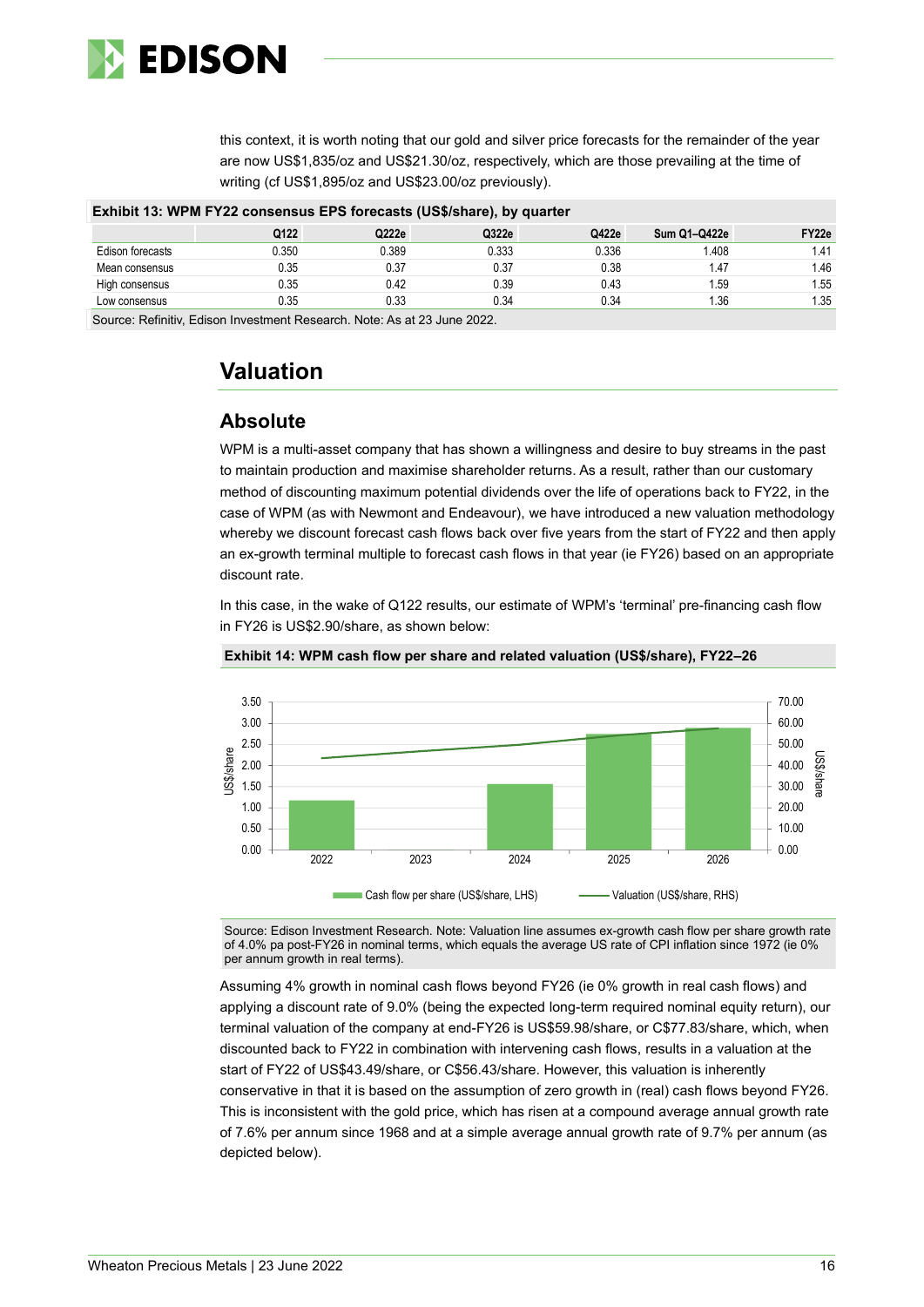

this context, it is worth noting that our gold and silver price forecasts for the remainder of the year are now US\$1,835/oz and US\$21.30/oz, respectively, which are those prevailing at the time of writing (cf US\$1,895/oz and US\$23.00/oz previously).

| Exhibit 13: WPM FY22 consensus EPS forecasts (US\$/share), by quarter |       |       |       |       |                     |                   |  |
|-----------------------------------------------------------------------|-------|-------|-------|-------|---------------------|-------------------|--|
|                                                                       | Q122  | Q222e | Q322e | Q422e | <b>Sum Q1-Q422e</b> | FY <sub>22e</sub> |  |
| Edison forecasts                                                      | 0.350 | 0.389 | 0.333 | 0.336 | 1.408               | l.41              |  |
| Mean consensus                                                        | 0.35  | 0.37  | 0.37  | 0.38  | 1.47                | 1.46              |  |
| High consensus                                                        | 0.35  | 0.42  | 0.39  | 0.43  | .59                 | 1.55              |  |
| Low consensus                                                         | 0.35  | 0.33  | 0.34  | 0.34  | 1.36                | 1.35              |  |
|                                                                       |       |       |       |       |                     |                   |  |

Source: Refinitiv, Edison Investment Research. Note: As at 23 June 2022.

## **Valuation**

## **Absolute**

WPM is a multi-asset company that has shown a willingness and desire to buy streams in the past to maintain production and maximise shareholder returns. As a result, rather than our customary method of discounting maximum potential dividends over the life of operations back to FY22, in the case of WPM (as with Newmont and Endeavour), we have introduced a new valuation methodology whereby we discount forecast cash flows back over five years from the start of FY22 and then apply an ex-growth terminal multiple to forecast cash flows in that year (ie FY26) based on an appropriate discount rate.

In this case, in the wake of Q122 results, our estimate of WPM's 'terminal' pre-financing cash flow in FY26 is US\$2.90/share, as shown below:



**Exhibit 14: WPM cash flow per share and related valuation (US\$/share), FY22–26**

Source: Edison Investment Research. Note: Valuation line assumes ex-growth cash flow per share growth rate of 4.0% pa post-FY26 in nominal terms, which equals the average US rate of CPI inflation since 1972 (ie 0% per annum growth in real terms).

Assuming 4% growth in nominal cash flows beyond FY26 (ie 0% growth in real cash flows) and applying a discount rate of 9.0% (being the expected long-term required nominal equity return), our terminal valuation of the company at end-FY26 is US\$59.98/share, or C\$77.83/share, which, when discounted back to FY22 in combination with intervening cash flows, results in a valuation at the start of FY22 of US\$43.49/share, or C\$56.43/share. However, this valuation is inherently conservative in that it is based on the assumption of zero growth in (real) cash flows beyond FY26. This is inconsistent with the gold price, which has risen at a compound average annual growth rate of 7.6% per annum since 1968 and at a simple average annual growth rate of 9.7% per annum (as depicted below).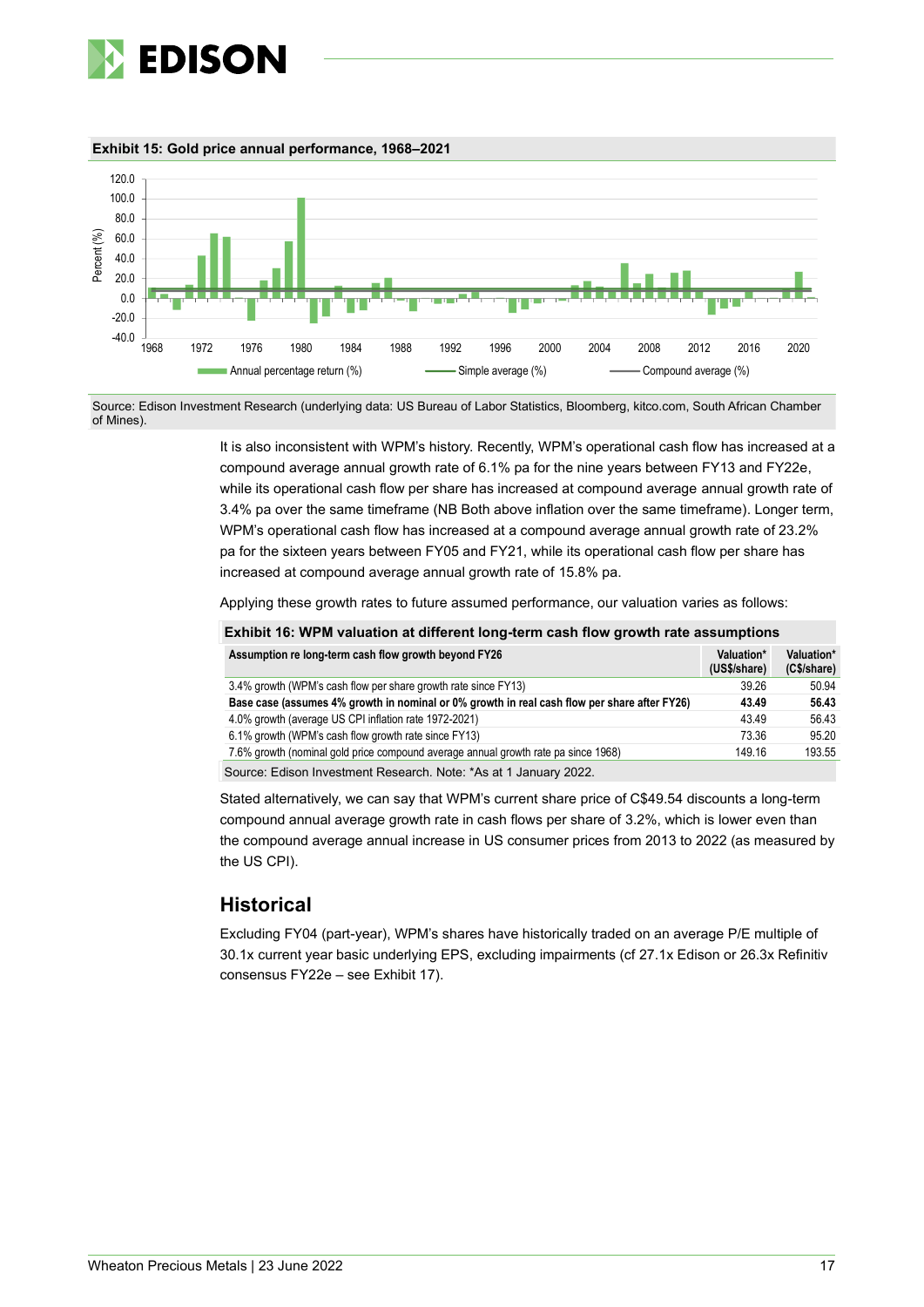





Source: Edison Investment Research (underlying data: US Bureau of Labor Statistics, Bloomberg, kitco.com, South African Chamber of Mines).

> It is also inconsistent with WPM's history. Recently, WPM's operational cash flow has increased at a compound average annual growth rate of 6.1% pa for the nine years between FY13 and FY22e, while its operational cash flow per share has increased at compound average annual growth rate of 3.4% pa over the same timeframe (NB Both above inflation over the same timeframe). Longer term, WPM's operational cash flow has increased at a compound average annual growth rate of 23.2% pa for the sixteen years between FY05 and FY21, while its operational cash flow per share has increased at compound average annual growth rate of 15.8% pa.

Applying these growth rates to future assumed performance, our valuation varies as follows:

| Exhibit 16: WPM valuation at different long-term cash flow growth rate assumptions           |                            |                           |
|----------------------------------------------------------------------------------------------|----------------------------|---------------------------|
| Assumption re long-term cash flow growth beyond FY26                                         | Valuation*<br>(US\$/share) | Valuation*<br>(C\$/share) |
| 3.4% growth (WPM's cash flow per share growth rate since FY13)                               | 39.26                      | 50.94                     |
| Base case (assumes 4% growth in nominal or 0% growth in real cash flow per share after FY26) | 43.49                      | 56.43                     |
| 4.0% growth (average US CPI inflation rate 1972-2021)                                        | 43.49                      | 56.43                     |
| 6.1% growth (WPM's cash flow growth rate since FY13)                                         | 73.36                      | 95.20                     |
| 7.6% growth (nominal gold price compound average annual growth rate pa since 1968)           | 149.16                     | 193.55                    |
| Source: Edison Investment Research. Note: *As at 1 January 2022.                             |                            |                           |

Stated alternatively, we can say that WPM's current share price of C\$49.54 discounts a long-term compound annual average growth rate in cash flows per share of 3.2%, which is lower even than the compound average annual increase in US consumer prices from 2013 to 2022 (as measured by the US CPI).

## **Historical**

Excluding FY04 (part-year), WPM's shares have historically traded on an average P/E multiple of 30.1x current year basic underlying EPS, excluding impairments (cf 27.1x Edison or 26.3x Refinitiv consensus FY22e – see Exhibit 17).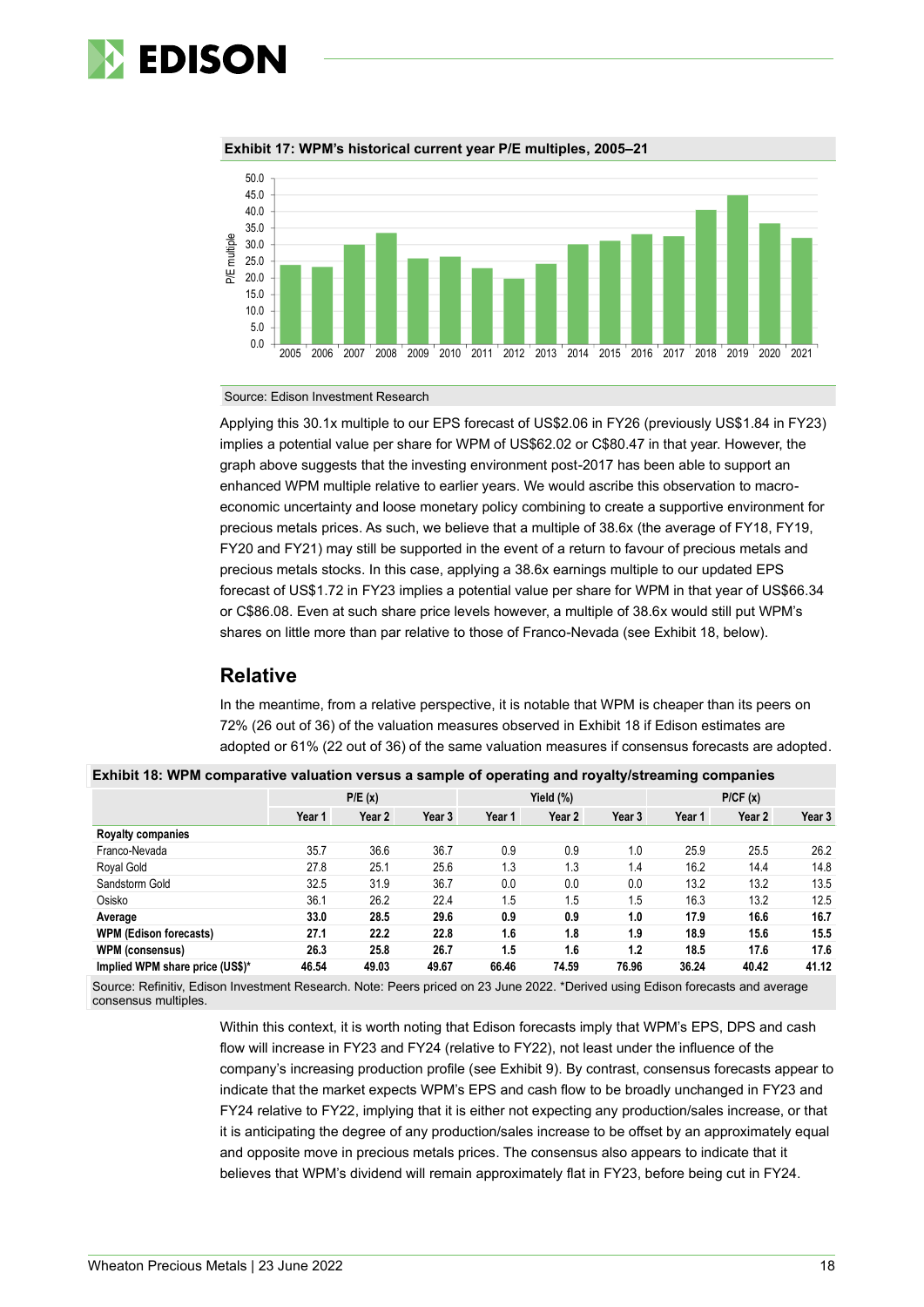



**Exhibit 17: WPM's historical current year P/E multiples, 2005–21**

Source: Edison Investment Research

Applying this 30.1x multiple to our EPS forecast of US\$2.06 in FY26 (previously US\$1.84 in FY23) implies a potential value per share for WPM of US\$62.02 or C\$80.47 in that year. However, the graph above suggests that the investing environment post-2017 has been able to support an enhanced WPM multiple relative to earlier years. We would ascribe this observation to macroeconomic uncertainty and loose monetary policy combining to create a supportive environment for precious metals prices. As such, we believe that a multiple of 38.6x (the average of FY18, FY19, FY20 and FY21) may still be supported in the event of a return to favour of precious metals and precious metals stocks. In this case, applying a 38.6x earnings multiple to our updated EPS forecast of US\$1.72 in FY23 implies a potential value per share for WPM in that year of US\$66.34 or C\$86.08. Even at such share price levels however, a multiple of 38.6x would still put WPM's shares on little more than par relative to those of Franco-Nevada (see Exhibit 18, below).

## **Relative**

In the meantime, from a relative perspective, it is notable that WPM is cheaper than its peers on 72% (26 out of 36) of the valuation measures observed in Exhibit 18 if Edison estimates are adopted or 61% (22 out of 36) of the same valuation measures if consensus forecasts are adopted.

| Exhibit 18: WPM comparative valuation versus a sample of operating and royalty/streaming companies |        |        |        |           |        |        |         |        |        |
|----------------------------------------------------------------------------------------------------|--------|--------|--------|-----------|--------|--------|---------|--------|--------|
|                                                                                                    | P/E(x) |        |        | Yield (%) |        |        | P/CF(x) |        |        |
|                                                                                                    | Year 1 | Year 2 | Year 3 | Year 1    | Year 2 | Year 3 | Year 1  | Year 2 | Year 3 |
| <b>Royalty companies</b>                                                                           |        |        |        |           |        |        |         |        |        |
| Franco-Nevada                                                                                      | 35.7   | 36.6   | 36.7   | 0.9       | 0.9    | 1.0    | 25.9    | 25.5   | 26.2   |
| Royal Gold                                                                                         | 27.8   | 25.1   | 25.6   | 1.3       | 1.3    | 1.4    | 16.2    | 14.4   | 14.8   |
| Sandstorm Gold                                                                                     | 32.5   | 31.9   | 36.7   | 0.0       | 0.0    | 0.0    | 13.2    | 13.2   | 13.5   |
| Osisko                                                                                             | 36.1   | 26.2   | 22.4   | 1.5       | 1.5    | 1.5    | 16.3    | 13.2   | 12.5   |
| Average                                                                                            | 33.0   | 28.5   | 29.6   | 0.9       | 0.9    | 1.0    | 17.9    | 16.6   | 16.7   |
| <b>WPM (Edison forecasts)</b>                                                                      | 27.1   | 22.2   | 22.8   | 1.6       | 1.8    | 1.9    | 18.9    | 15.6   | 15.5   |
| <b>WPM (consensus)</b>                                                                             | 26.3   | 25.8   | 26.7   | 1.5       | 1.6    | 1.2    | 18.5    | 17.6   | 17.6   |
| Implied WPM share price (US\$)*                                                                    | 46.54  | 49.03  | 49.67  | 66.46     | 74.59  | 76.96  | 36.24   | 40.42  | 41.12  |

| Exhibit 18: WPM comparative valuation versus a sample of operating and royalty/streaming companies |  |  |  |
|----------------------------------------------------------------------------------------------------|--|--|--|
|                                                                                                    |  |  |  |
|                                                                                                    |  |  |  |

Source: Refinitiv, Edison Investment Research. Note: Peers priced on 23 June 2022. \*Derived using Edison forecasts and average consensus multiples.

> Within this context, it is worth noting that Edison forecasts imply that WPM's EPS, DPS and cash flow will increase in FY23 and FY24 (relative to FY22), not least under the influence of the company's increasing production profile (see Exhibit 9). By contrast, consensus forecasts appear to indicate that the market expects WPM's EPS and cash flow to be broadly unchanged in FY23 and FY24 relative to FY22, implying that it is either not expecting any production/sales increase, or that it is anticipating the degree of any production/sales increase to be offset by an approximately equal and opposite move in precious metals prices. The consensus also appears to indicate that it believes that WPM's dividend will remain approximately flat in FY23, before being cut in FY24.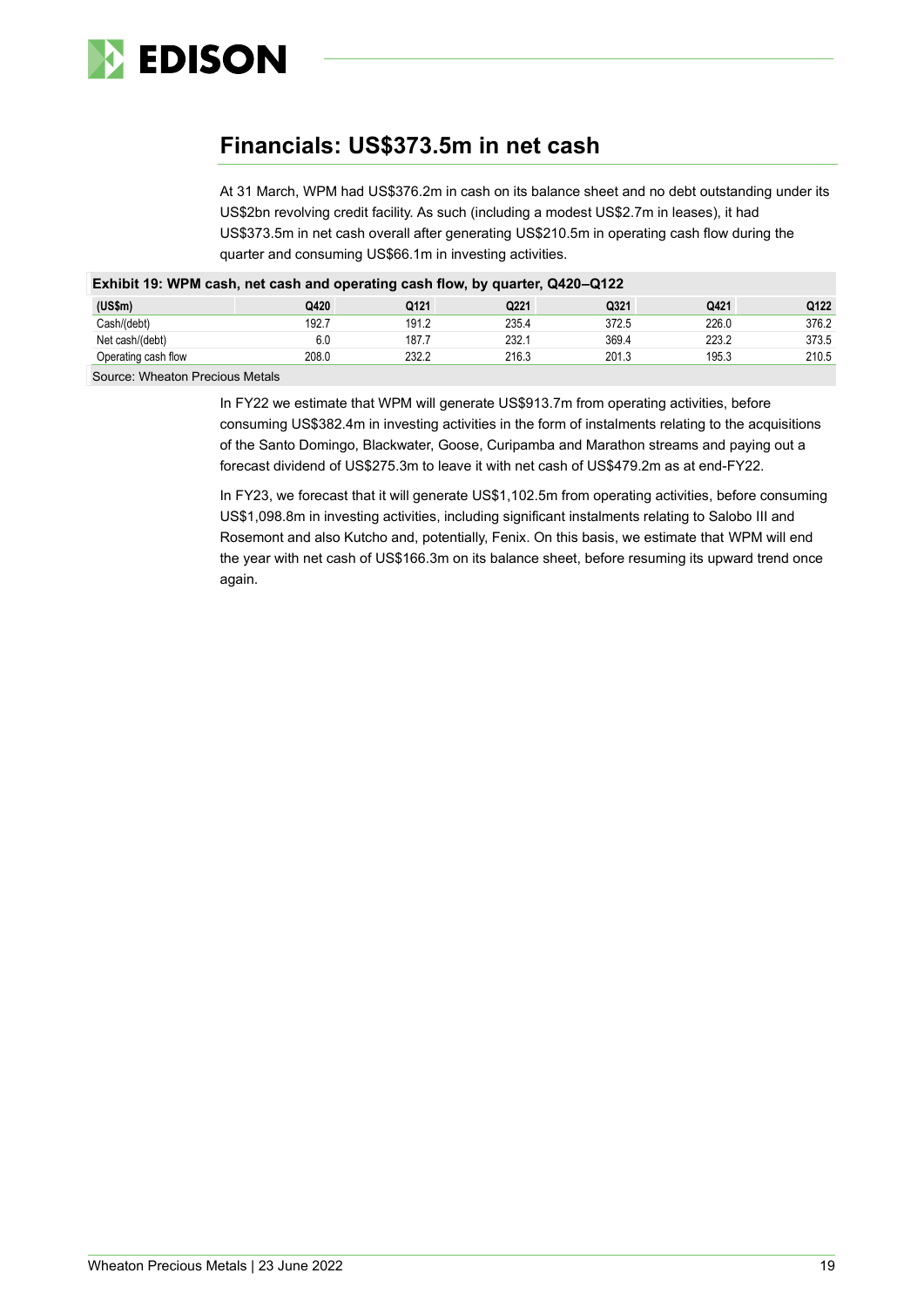

## **Financials: US\$373.5m in net cash**

At 31 March, WPM had US\$376.2m in cash on its balance sheet and no debt outstanding under its US\$2bn revolving credit facility. As such (including a modest US\$2.7m in leases), it had US\$373.5m in net cash overall after generating US\$210.5m in operating cash flow during the quarter and consuming US\$66.1m in investing activities.

| Exhibit 19: WPM cash, net cash and operating cash flow, by quarter, Q420–Q122 |       |       |       |       |       |       |  |
|-------------------------------------------------------------------------------|-------|-------|-------|-------|-------|-------|--|
| (US\$m)                                                                       | Q420  | Q121  | Q221  | Q321  | Q421  | Q122  |  |
| Cash/(debt)                                                                   | 192.7 | 191.2 | 235.4 | 372.5 | 226.0 | 376.2 |  |
| Net cash/(debt)                                                               | 6.0   | 187.7 | 232.1 | 369.4 | 223.2 | 373.5 |  |
| Operating cash flow                                                           | 208.0 | 232.2 | 216.3 | 201.3 | 195.3 | 210.5 |  |
| Course Wheater Dresieus Metale                                                |       |       |       |       |       |       |  |

**Exhibit 19: WPM cash, net cash and operating cash flow, by quarter, Q420–Q122**

Source: Wheaton Precious Metals

In FY22 we estimate that WPM will generate US\$913.7m from operating activities, before consuming US\$382.4m in investing activities in the form of instalments relating to the acquisitions of the Santo Domingo, Blackwater, Goose, Curipamba and Marathon streams and paying out a forecast dividend of US\$275.3m to leave it with net cash of US\$479.2m as at end-FY22.

In FY23, we forecast that it will generate US\$1,102.5m from operating activities, before consuming US\$1,098.8m in investing activities, including significant instalments relating to Salobo III and Rosemont and also Kutcho and, potentially, Fenix. On this basis, we estimate that WPM will end the year with net cash of US\$166.3m on its balance sheet, before resuming its upward trend once again.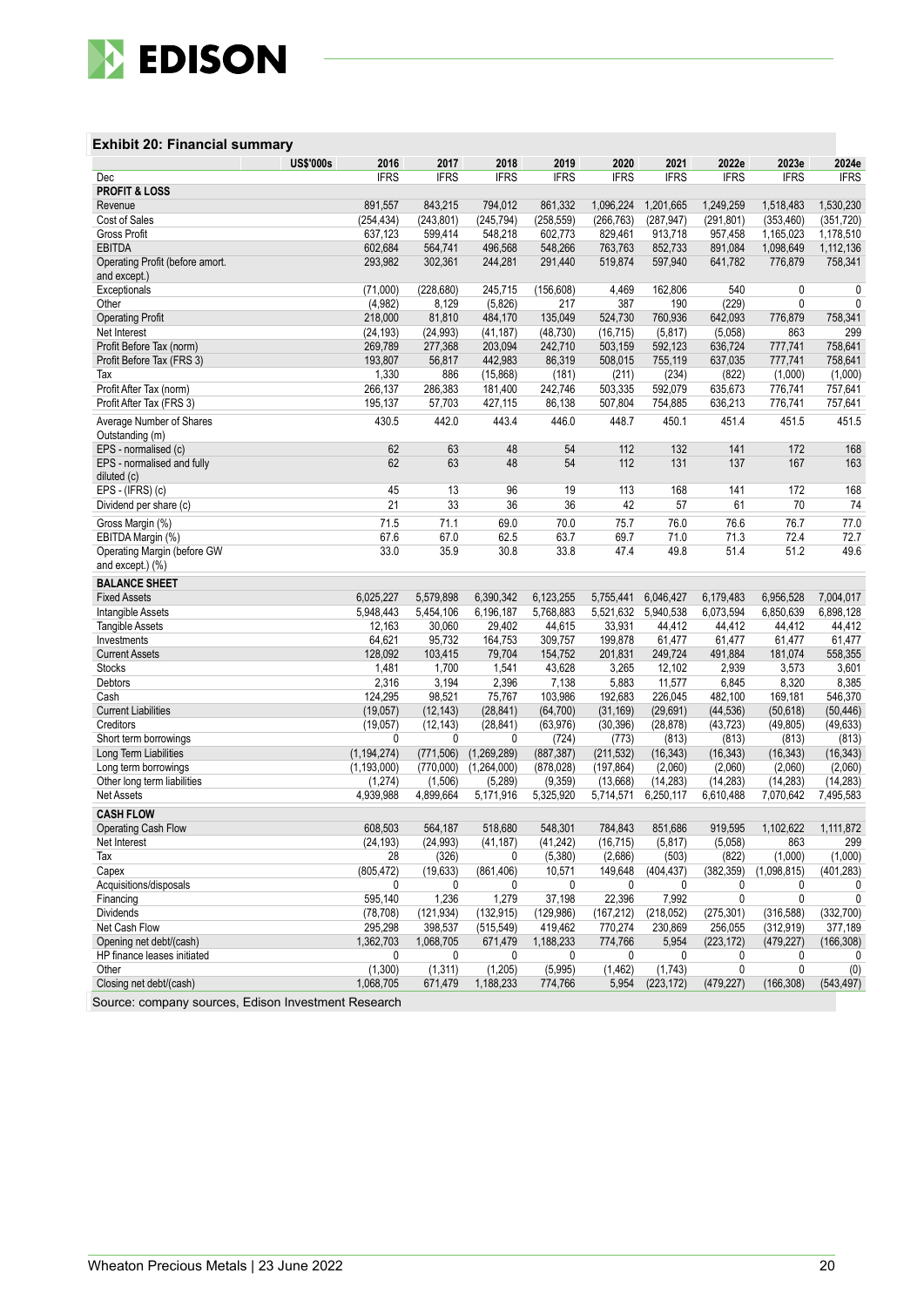

### **Exhibit 20: Financial summary**

|                                 | <b>US\$'000s</b><br>2016 | 2017        | 2018        | 2019        | 2020        | 2021        | 2022e       | 2023e       | 2024e        |
|---------------------------------|--------------------------|-------------|-------------|-------------|-------------|-------------|-------------|-------------|--------------|
| Dec                             | <b>IFRS</b>              | <b>IFRS</b> | <b>IFRS</b> | <b>IFRS</b> | <b>IFRS</b> | <b>IFRS</b> | <b>IFRS</b> | <b>IFRS</b> | <b>IFRS</b>  |
| <b>PROFIT &amp; LOSS</b>        |                          |             |             |             |             |             |             |             |              |
| Revenue                         | 891,557                  | 843,215     | 794,012     | 861,332     | 1,096,224   | 1,201,665   | 1,249,259   | 1,518,483   | 1,530,230    |
| Cost of Sales                   | (254, 434)               | (243, 801)  | (245, 794)  | (258, 559)  | (266, 763)  | (287, 947)  | (291, 801)  | (353, 460)  | (351, 720)   |
| Gross Profit                    | 637,123                  | 599,414     | 548,218     | 602,773     | 829,461     | 913,718     | 957,458     | 1,165,023   | 1,178,510    |
| <b>EBITDA</b>                   | 602,684                  | 564,741     | 496,568     | 548,266     | 763,763     | 852,733     | 891,084     | 1,098,649   | 1,112,136    |
| Operating Profit (before amort. | 293,982                  | 302,361     | 244,281     | 291,440     | 519,874     | 597,940     | 641,782     | 776,879     | 758,341      |
| and except.)                    |                          |             |             |             |             |             |             |             |              |
| Exceptionals                    | (71,000)                 | (228, 680)  | 245,715     | (156, 608)  | 4,469       | 162,806     | 540         | 0           | 0            |
| Other                           | (4,982)                  | 8,129       | (5,826)     | 217         | 387         | 190         | (229)       | 0           | $\mathbf{0}$ |
| <b>Operating Profit</b>         | 218,000                  | 81,810      | 484,170     | 135,049     | 524,730     | 760.936     | 642,093     | 776,879     | 758,341      |
| Net Interest                    | (24, 193)                | (24, 993)   | (41, 187)   | (48, 730)   | (16, 715)   | (5, 817)    | (5,058)     | 863         | 299          |
| Profit Before Tax (norm)        | 269,789                  | 277,368     | 203,094     | 242,710     | 503,159     | 592,123     | 636.724     | 777,741     | 758,641      |
| Profit Before Tax (FRS 3)       | 193,807                  | 56,817      | 442,983     | 86,319      | 508,015     | 755,119     | 637,035     | 777,741     | 758,641      |
| Tax                             | 1,330                    | 886         | (15,868)    | (181)       | (211)       | (234)       | (822)       | (1,000)     | (1,000)      |
| Profit After Tax (norm)         | 266,137                  | 286,383     | 181,400     | 242,746     | 503,335     | 592,079     | 635,673     | 776,741     | 757,641      |
| Profit After Tax (FRS 3)        | 195,137                  | 57,703      | 427,115     | 86,138      | 507,804     | 754,885     | 636,213     | 776,741     | 757,641      |
| Average Number of Shares        | 430.5                    | 442.0       | 443.4       | 446.0       | 448.7       | 450.1       | 451.4       | 451.5       | 451.5        |
| Outstanding (m)                 |                          |             |             |             |             |             |             |             |              |
| EPS - normalised (c)            |                          | 62<br>63    | 48          | 54          | 112         | 132         | 141         | 172         | 168          |
| EPS - normalised and fully      |                          | 63<br>62    | 48          | 54          | 112         | 131         | 137         | 167         | 163          |
| diluted (c)                     |                          |             |             |             |             |             |             |             |              |
| EPS - (IFRS) (c)                |                          | 45<br>13    | 96          | 19          | 113         | 168         | 141         | 172         | 168          |
| Dividend per share (c)          |                          | 21<br>33    | 36          | 36          | 42          | 57          | 61          | 70          | 74           |
|                                 |                          |             |             |             |             |             |             |             |              |
| Gross Margin (%)                | 71.5                     | 71.1        | 69.0        | 70.0        | 75.7        | 76.0        | 76.6        | 76.7        | 77.0         |
| EBITDA Margin (%)               | 67.6                     | 67.0        | 62.5        | 63.7        | 69.7        | 71.0        | 71.3        | 72.4        | 72.7         |
| Operating Margin (before GW     | 33.0                     | 35.9        | 30.8        | 33.8        | 47.4        | 49.8        | 51.4        | 51.2        | 49.6         |
| and except.) (%)                |                          |             |             |             |             |             |             |             |              |
| <b>BALANCE SHEET</b>            |                          |             |             |             |             |             |             |             |              |
| <b>Fixed Assets</b>             | 6.025.227                | 5,579,898   | 6,390,342   | 6,123,255   | 5,755,441   | 6,046,427   | 6,179,483   | 6,956,528   | 7.004.017    |
| Intangible Assets               | 5,948,443                | 5,454,106   | 6,196,187   | 5,768,883   | 5,521,632   | 5,940,538   | 6,073,594   | 6,850,639   | 6,898,128    |
| <b>Tangible Assets</b>          | 12,163                   | 30,060      | 29,402      | 44,615      | 33,931      | 44,412      | 44,412      | 44,412      | 44,412       |
| Investments                     | 64,621                   | 95,732      | 164,753     | 309,757     | 199,878     | 61,477      | 61,477      | 61,477      | 61,477       |
| <b>Current Assets</b>           | 128,092                  | 103,415     | 79,704      | 154,752     | 201,831     | 249,724     | 491,884     | 181,074     | 558,355      |
| <b>Stocks</b>                   | 1,481                    | 1,700       | 1,541       | 43,628      | 3,265       | 12,102      | 2,939       | 3,573       | 3,601        |
| Debtors                         | 2,316                    | 3,194       | 2,396       | 7,138       | 5,883       | 11,577      | 6,845       | 8,320       | 8,385        |
| Cash                            | 124,295                  | 98,521      | 75,767      | 103,986     | 192,683     | 226,045     | 482,100     | 169,181     | 546,370      |
| <b>Current Liabilities</b>      | (19,057)                 | (12, 143)   | (28, 841)   | (64, 700)   | (31, 169)   | (29, 691)   | (44, 536)   | (50, 618)   | (50, 446)    |
| Creditors                       | (19,057)                 | (12, 143)   | (28, 841)   | (63, 976)   | (30, 396)   | (28, 878)   | (43, 723)   | (49, 805)   | (49, 633)    |
| Short term borrowings           |                          | 0<br>0      | 0           | (724)       | (773)       | (813)       | (813)       | (813)       | (813)        |
| Long Term Liabilities           | (1, 194, 274)            | (771, 506)  | (1,269,289) | (887, 387)  | (211, 532)  | (16, 343)   | (16, 343)   | (16, 343)   | (16, 343)    |
| Long term borrowings            | (1, 193, 000)            | (770,000)   | (1,264,000) | (878, 028)  | (197, 864)  | (2,060)     | (2,060)     | (2,060)     | (2,060)      |
| Other long term liabilities     | (1, 274)                 | (1,506)     | (5, 289)    | (9, 359)    | (13,668)    | (14, 283)   | (14, 283)   | (14, 283)   | (14, 283)    |
| Net Assets                      | 4,939,988                | 4,899,664   | 5,171,916   | 5,325,920   | 5,714,571   | 6,250,117   | 6,610,488   | 7,070,642   | 7,495,583    |
| <b>CASH FLOW</b>                |                          |             |             |             |             |             |             |             |              |
| Operating Cash Flow             | 608,503                  | 564,187     | 518,680     | 548,301     | 784,843     | 851,686     | 919,595     | 1,102,622   | 1,111,872    |
| Net Interest                    | (24, 193)                | (24, 993)   | (41, 187)   | (41, 242)   | (16, 715)   | (5, 817)    | (5,058)     | 863         | 299          |
| Tax                             |                          | 28<br>(326) | 0           | (5,380)     | (2,686)     | (503)       | (822)       | (1,000)     | (1,000)      |
| Capex                           | (805, 472)               | (19, 633)   | (861, 406)  | 10,571      | 149.648     | (404, 437)  | (382, 359)  | (1,098,815) | (401, 283)   |
| Acquisitions/disposals          |                          | 0<br>0      | 0           | 0           | 0           | 0           | 0           | 0           | 0            |
| Financing                       | 595,140                  | 1,236       | 1,279       | 37,198      | 22,396      | 7,992       | 0           | 0           | 0            |
| Dividends                       | (78, 708)                | (121, 934)  | (132, 915)  | (129, 986)  | (167, 212)  | (218, 052)  | (275, 301)  | (316, 588)  | (332,700)    |
| Net Cash Flow                   | 295,298                  | 398,537     | (515, 549)  | 419,462     | 770,274     | 230,869     | 256,055     | (312, 919)  | 377,189      |
| Opening net debt/(cash)         | 1,362,703                | 1,068,705   | 671,479     | 1,188,233   | 774,766     | 5,954       | (223, 172)  | (479, 227)  | (166, 308)   |
| HP finance leases initiated     |                          | 0<br>0      | 0           | 0           | 0           | 0           | 0           | 0           | 0            |
| Other                           | (1, 300)                 | (1, 311)    | (1,205)     | (5,995)     | (1, 462)    | (1,743)     | 0           | 0           | (0)          |
| Closing net debt/(cash)         |                          |             | 1,188,233   |             |             |             |             |             | (543, 497)   |
|                                 | 1,068,705                | 671,479     |             | 774,766     | 5,954       | (223, 172)  | (479, 227)  | (166, 308)  |              |

Source: company sources, Edison Investment Research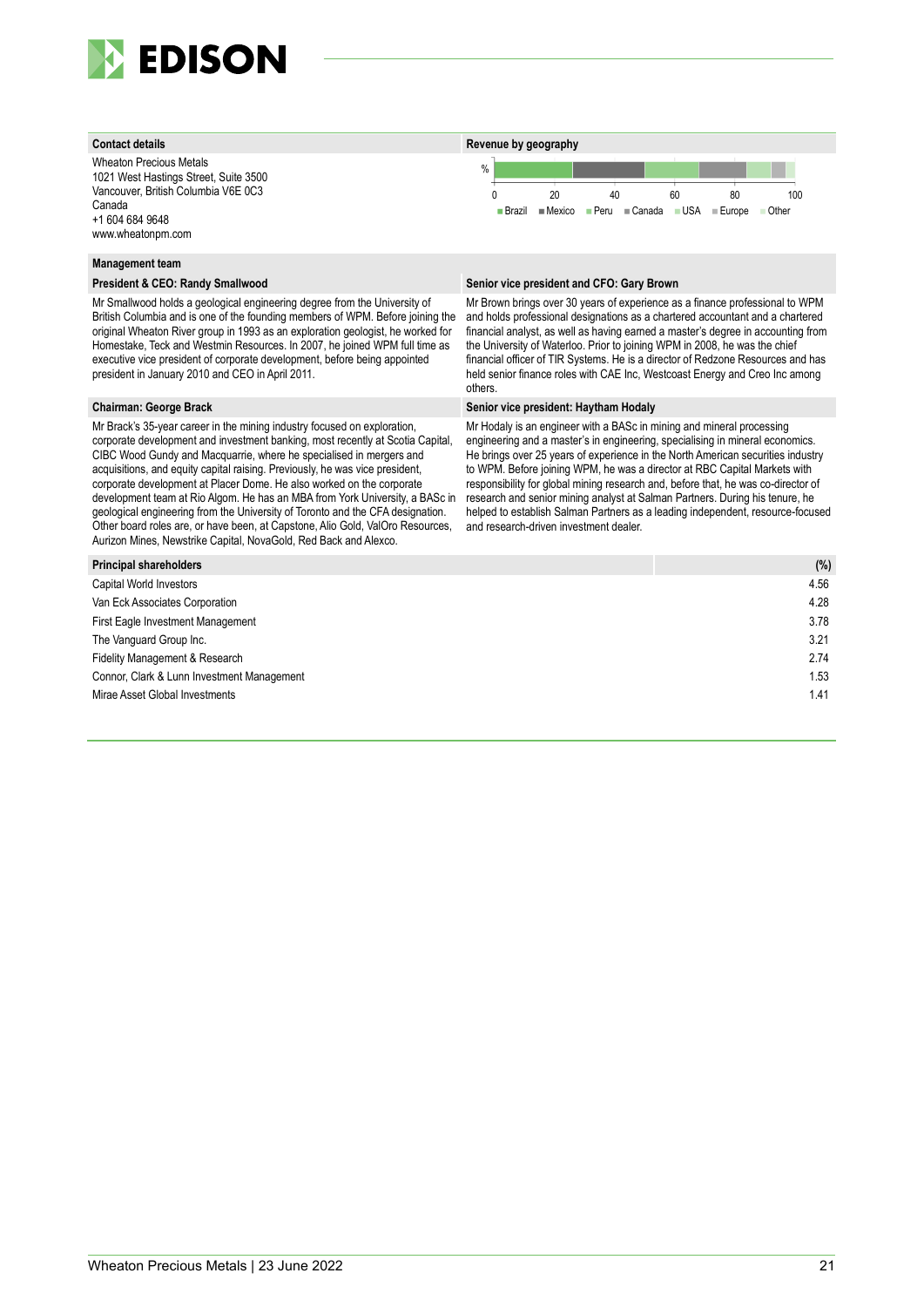

Wheaton Precious Metals 1021 West Hastings Street, Suite 3500 Vancouver, British Columbia V6E 0C3 Canada +1 604 684 9648 www.wheatonpm.com



#### **Management team**

Mr Smallwood holds a geological engineering degree from the University of British Columbia and is one of the founding members of WPM. Before joining the original Wheaton River group in 1993 as an exploration geologist, he worked for Homestake, Teck and Westmin Resources. In 2007, he joined WPM full time as executive vice president of corporate development, before being appointed president in January 2010 and CEO in April 2011.

Mr Brack's 35-year career in the mining industry focused on exploration, corporate development and investment banking, most recently at Scotia Capital, CIBC Wood Gundy and Macquarrie, where he specialised in mergers and acquisitions, and equity capital raising. Previously, he was vice president, corporate development at Placer Dome. He also worked on the corporate development team at Rio Algom. He has an MBA from York University, a BASc in geological engineering from the University of Toronto and the CFA designation. Other board roles are, or have been, at Capstone, Alio Gold, ValOro Resources, Aurizon Mines, Newstrike Capital, NovaGold, Red Back and Alexco.

#### **President & CEO: Randy Smallwood Senior vice president and CFO: Gary Brown**

Mr Brown brings over 30 years of experience as a finance professional to WPM and holds professional designations as a chartered accountant and a chartered financial analyst, as well as having earned a master's degree in accounting from the University of Waterloo. Prior to joining WPM in 2008, he was the chief financial officer of TIR Systems. He is a director of Redzone Resources and has held senior finance roles with CAE Inc, Westcoast Energy and Creo Inc among others.

#### **Chairman: George Brack Senior vice president: Haytham Hodaly**

Mr Hodaly is an engineer with a BASc in mining and mineral processing engineering and a master's in engineering, specialising in mineral economics. He brings over 25 years of experience in the North American securities industry to WPM. Before joining WPM, he was a director at RBC Capital Markets with responsibility for global mining research and, before that, he was co-director of research and senior mining analyst at Salman Partners. During his tenure, he helped to establish Salman Partners as a leading independent, resource-focused and research-driven investment dealer.

| Principal shareholders                     | (% ) |
|--------------------------------------------|------|
| Capital World Investors                    | 4.56 |
| Van Eck Associates Corporation             | 4.28 |
| First Eagle Investment Management          | 3.78 |
| The Vanguard Group Inc.                    | 3.21 |
| Fidelity Management & Research             | 2.74 |
| Connor, Clark & Lunn Investment Management | 1.53 |
| Mirae Asset Global Investments             | 1.41 |
|                                            |      |